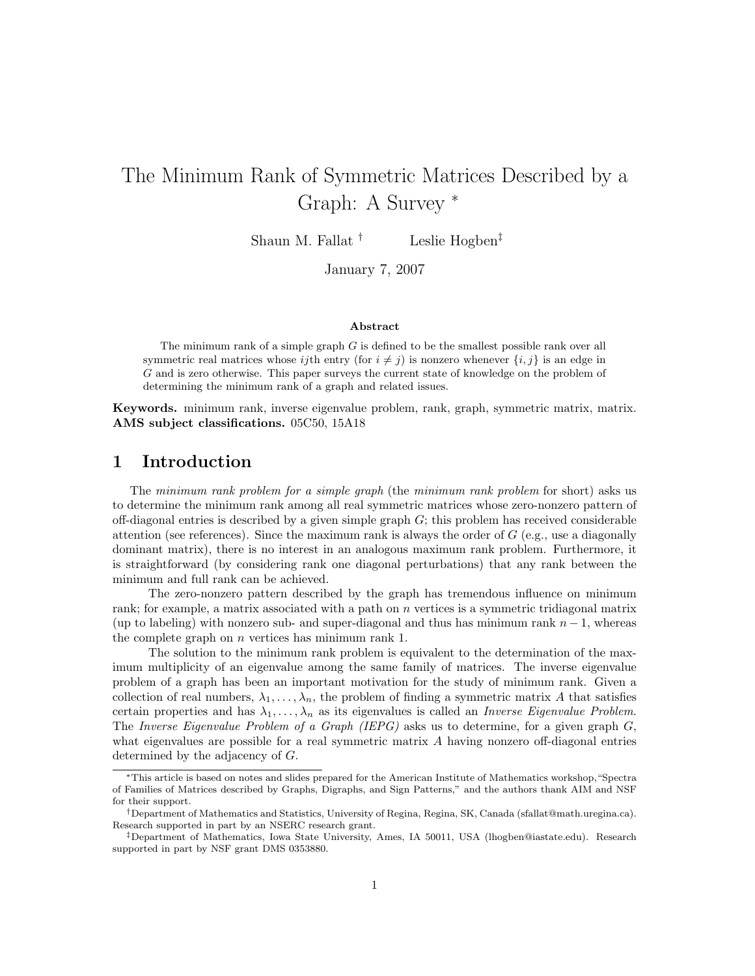# The Minimum Rank of Symmetric Matrices Described by a Graph: A Survey <sup>∗</sup>

Shaun M. Fallat <sup>†</sup> Leslie Hogben<sup>‡</sup>

January 7, 2007

#### Abstract

The minimum rank of a simple graph  $G$  is defined to be the smallest possible rank over all symmetric real matrices whose ijth entry (for  $i \neq j$ ) is nonzero whenever  $\{i, j\}$  is an edge in G and is zero otherwise. This paper surveys the current state of knowledge on the problem of determining the minimum rank of a graph and related issues.

Keywords. minimum rank, inverse eigenvalue problem, rank, graph, symmetric matrix, matrix. AMS subject classifications. 05C50, 15A18

## 1 Introduction

The minimum rank problem for a simple graph (the minimum rank problem for short) asks us to determine the minimum rank among all real symmetric matrices whose zero-nonzero pattern of off-diagonal entries is described by a given simple graph  $G$ ; this problem has received considerable attention (see references). Since the maximum rank is always the order of  $G$  (e.g., use a diagonally dominant matrix), there is no interest in an analogous maximum rank problem. Furthermore, it is straightforward (by considering rank one diagonal perturbations) that any rank between the minimum and full rank can be achieved.

The zero-nonzero pattern described by the graph has tremendous influence on minimum rank; for example, a matrix associated with a path on n vertices is a symmetric tridiagonal matrix (up to labeling) with nonzero sub- and super-diagonal and thus has minimum rank  $n-1$ , whereas the complete graph on n vertices has minimum rank 1.

The solution to the minimum rank problem is equivalent to the determination of the maximum multiplicity of an eigenvalue among the same family of matrices. The inverse eigenvalue problem of a graph has been an important motivation for the study of minimum rank. Given a collection of real numbers,  $\lambda_1, \ldots, \lambda_n$ , the problem of finding a symmetric matrix A that satisfies certain properties and has  $\lambda_1, \ldots, \lambda_n$  as its eigenvalues is called an *Inverse Eigenvalue Problem.* The Inverse Eigenvalue Problem of a Graph (IEPG) asks us to determine, for a given graph  $G$ , what eigenvalues are possible for a real symmetric matrix A having nonzero off-diagonal entries determined by the adjacency of G.

<sup>∗</sup>This article is based on notes and slides prepared for the American Institute of Mathematics workshop,"Spectra of Families of Matrices described by Graphs, Digraphs, and Sign Patterns," and the authors thank AIM and NSF for their support.

<sup>†</sup>Department of Mathematics and Statistics, University of Regina, Regina, SK, Canada (sfallat@math.uregina.ca). Research supported in part by an NSERC research grant.

<sup>‡</sup>Department of Mathematics, Iowa State University, Ames, IA 50011, USA (lhogben@iastate.edu). Research supported in part by NSF grant DMS 0353880.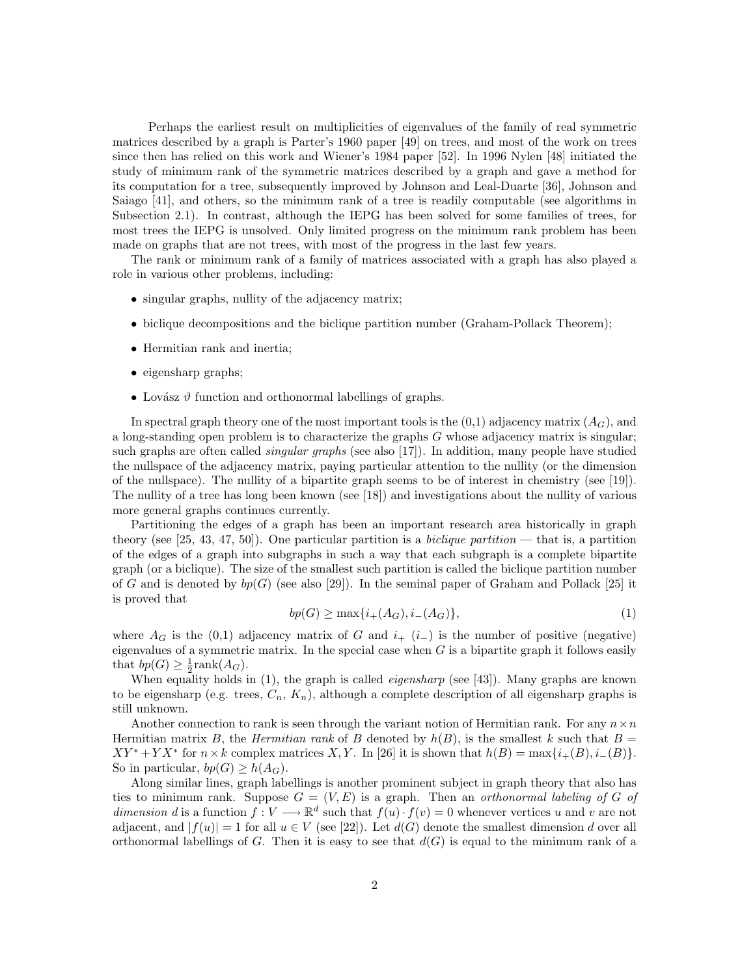Perhaps the earliest result on multiplicities of eigenvalues of the family of real symmetric matrices described by a graph is Parter's 1960 paper [49] on trees, and most of the work on trees since then has relied on this work and Wiener's 1984 paper [52]. In 1996 Nylen [48] initiated the study of minimum rank of the symmetric matrices described by a graph and gave a method for its computation for a tree, subsequently improved by Johnson and Leal-Duarte [36], Johnson and Saiago [41], and others, so the minimum rank of a tree is readily computable (see algorithms in Subsection 2.1). In contrast, although the IEPG has been solved for some families of trees, for most trees the IEPG is unsolved. Only limited progress on the minimum rank problem has been made on graphs that are not trees, with most of the progress in the last few years.

The rank or minimum rank of a family of matrices associated with a graph has also played a role in various other problems, including:

- singular graphs, nullity of the adjacency matrix;
- biclique decompositions and the biclique partition number (Graham-Pollack Theorem);
- Hermitian rank and inertia;
- eigensharp graphs;
- Lovász  $\vartheta$  function and orthonormal labellings of graphs.

In spectral graph theory one of the most important tools is the  $(0,1)$  adjacency matrix  $(A_G)$ , and a long-standing open problem is to characterize the graphs G whose adjacency matrix is singular; such graphs are often called *singular graphs* (see also [17]). In addition, many people have studied the nullspace of the adjacency matrix, paying particular attention to the nullity (or the dimension of the nullspace). The nullity of a bipartite graph seems to be of interest in chemistry (see [19]). The nullity of a tree has long been known (see [18]) and investigations about the nullity of various more general graphs continues currently.

Partitioning the edges of a graph has been an important research area historically in graph theory (see [25, 43, 47, 50]). One particular partition is a *biclique partition* — that is, a partition of the edges of a graph into subgraphs in such a way that each subgraph is a complete bipartite graph (or a biclique). The size of the smallest such partition is called the biclique partition number of G and is denoted by  $bp(G)$  (see also [29]). In the seminal paper of Graham and Pollack [25] it is proved that

$$
bp(G) \ge \max\{i_+(A_G), i_-(A_G)\},\tag{1}
$$

where  $A_G$  is the (0,1) adjacency matrix of G and  $i_{+}$  (i<sub>−</sub>) is the number of positive (negative) eigenvalues of a symmetric matrix. In the special case when  $G$  is a bipartite graph it follows easily that  $bp(G) \geq \frac{1}{2}rank(A_G)$ .

When equality holds in  $(1)$ , the graph is called *eigensharp* (see [43]). Many graphs are known to be eigensharp (e.g. trees,  $C_n$ ,  $K_n$ ), although a complete description of all eigensharp graphs is still unknown.

Another connection to rank is seen through the variant notion of Hermitian rank. For any  $n \times n$ Hermitian matrix B, the Hermitian rank of B denoted by  $h(B)$ , is the smallest k such that  $B =$  $XY^* + YX^*$  for  $n \times k$  complex matrices X, Y. In [26] it is shown that  $h(B) = \max\{i_+(B), i_-(B)\}.$ So in particular,  $bp(G) > h(A_G)$ .

Along similar lines, graph labellings is another prominent subject in graph theory that also has ties to minimum rank. Suppose  $G = (V, E)$  is a graph. Then an *orthonormal labeling of G of* dimension d is a function  $f: V \longrightarrow \mathbb{R}^d$  such that  $f(u) \cdot f(v) = 0$  whenever vertices u and v are not adjacent, and  $|f(u)| = 1$  for all  $u \in V$  (see [22]). Let  $d(G)$  denote the smallest dimension d over all orthonormal labellings of G. Then it is easy to see that  $d(G)$  is equal to the minimum rank of a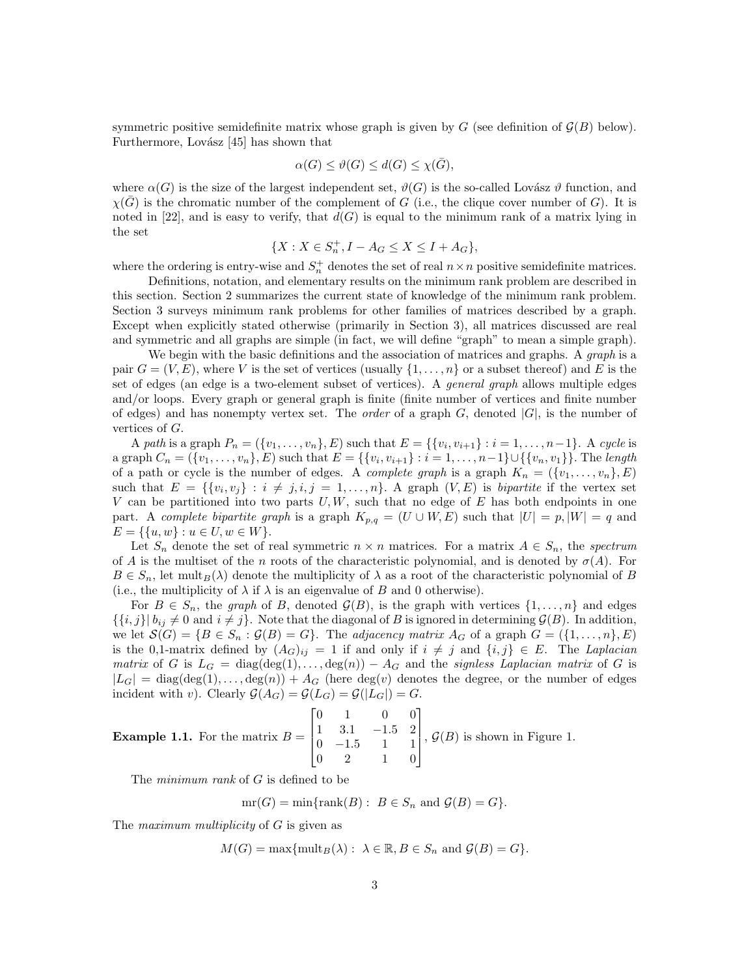symmetric positive semidefinite matrix whose graph is given by  $G$  (see definition of  $\mathcal{G}(B)$  below). Furthermore, Lovász  $[45]$  has shown that

$$
\alpha(G) \le \vartheta(G) \le d(G) \le \chi(\bar{G}),
$$

where  $\alpha(G)$  is the size of the largest independent set,  $\vartheta(G)$  is the so-called Lovász  $\vartheta$  function, and  $\chi(\bar{G})$  is the chromatic number of the complement of G (i.e., the clique cover number of G). It is noted in [22], and is easy to verify, that  $d(G)$  is equal to the minimum rank of a matrix lying in the set

$$
\{X: X\in S_n^+, I-A_G\leq X\leq I+A_G\},
$$

where the ordering is entry-wise and  $S_n^+$  denotes the set of real  $n \times n$  positive semidefinite matrices.

Definitions, notation, and elementary results on the minimum rank problem are described in this section. Section 2 summarizes the current state of knowledge of the minimum rank problem. Section 3 surveys minimum rank problems for other families of matrices described by a graph. Except when explicitly stated otherwise (primarily in Section 3), all matrices discussed are real and symmetric and all graphs are simple (in fact, we will define "graph" to mean a simple graph).

We begin with the basic definitions and the association of matrices and graphs. A *graph* is a pair  $G = (V, E)$ , where V is the set of vertices (usually  $\{1, \ldots, n\}$  or a subset thereof) and E is the set of edges (an edge is a two-element subset of vertices). A general graph allows multiple edges and/or loops. Every graph or general graph is finite (finite number of vertices and finite number of edges) and has nonempty vertex set. The *order* of a graph  $G$ , denoted  $|G|$ , is the number of vertices of G.

A path is a graph  $P_n = (\{v_1, \ldots, v_n\}, E)$  such that  $E = \{\{v_i, v_{i+1}\} : i = 1, \ldots, n-1\}$ . A cycle is a graph  $C_n = (\{v_1, \ldots, v_n\}, E)$  such that  $E = \{\{v_i, v_{i+1}\} : i = 1, \ldots, n-1\} \cup \{\{v_n, v_1\}\}\.$  The length of a path or cycle is the number of edges. A *complete graph* is a graph  $K_n = (\{v_1, \ldots, v_n\}, E)$ such that  $E = \{ \{v_i, v_j\} : i \neq j, i, j = 1, \ldots, n \}.$  A graph  $(V, E)$  is bipartite if the vertex set V can be partitioned into two parts  $U, W$ , such that no edge of E has both endpoints in one part. A complete bipartite graph is a graph  $K_{p,q} = (U \cup W, E)$  such that  $|U| = p, |W| = q$  and  $E = \{\{u, w\} : u \in U, w \in W\}.$ 

Let  $S_n$  denote the set of real symmetric  $n \times n$  matrices. For a matrix  $A \in S_n$ , the spectrum of A is the multiset of the n roots of the characteristic polynomial, and is denoted by  $\sigma(A)$ . For  $B \in S_n$ , let mult $B(\lambda)$  denote the multiplicity of  $\lambda$  as a root of the characteristic polynomial of B (i.e., the multiplicity of  $\lambda$  if  $\lambda$  is an eigenvalue of B and 0 otherwise).

For  $B \in S_n$ , the graph of B, denoted  $\mathcal{G}(B)$ , is the graph with vertices  $\{1, \ldots, n\}$  and edges  $\{\{i,j\} | b_{ij} \neq 0 \text{ and } i \neq j\}.$  Note that the diagonal of B is ignored in determining  $\mathcal{G}(B)$ . In addition, we let  $\mathcal{S}(G) = \{B \in S_n : \mathcal{G}(B) = G\}$ . The adjacency matrix  $A_G$  of a graph  $G = (\{1, \ldots, n\}, E)$ is the 0,1-matrix defined by  $(A_G)_{ij} = 1$  if and only if  $i \neq j$  and  $\{i, j\} \in E$ . The Laplacian matrix of G is  $L_G = \text{diag}(\text{deg}(1), \ldots, \text{deg}(n)) - A_G$  and the signless Laplacian matrix of G is  $|L_G| = \text{diag}(\text{deg}(1), \ldots, \text{deg}(n)) + A_G$  (here  $\text{deg}(v)$  denotes the degree, or the number of edges incident with v). Clearly  $\mathcal{G}(A_G) = \mathcal{G}(L_G) = \mathcal{G}(|L_G|) = G$ .

**Example 1.1.** For the matrix 
$$
B = \begin{bmatrix} 0 & 1 & 0 & 0 \\ 1 & 3.1 & -1.5 & 2 \\ 0 & -1.5 & 1 & 1 \\ 0 & 2 & 1 & 0 \end{bmatrix}
$$
,  $\mathcal{G}(B)$  is shown in Figure 1.

The minimum rank of G is defined to be

$$
mr(G) = min\{rank(B) : B \in S_n \text{ and } \mathcal{G}(B) = G\}.
$$

The *maximum multiplicity* of G is given as

$$
M(G) = \max\{\mathrm{mult}_B(\lambda): \ \lambda \in \mathbb{R}, B \in S_n \text{ and } \mathcal{G}(B) = G\}.
$$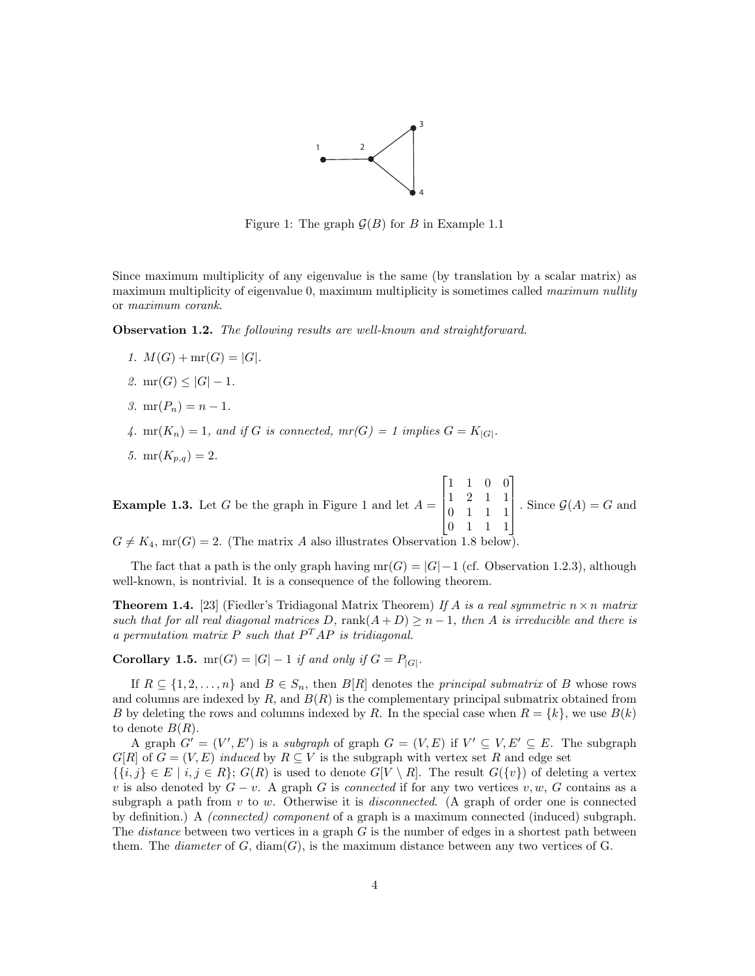

Figure 1: The graph  $\mathcal{G}(B)$  for B in Example 1.1

Since maximum multiplicity of any eigenvalue is the same (by translation by a scalar matrix) as maximum multiplicity of eigenvalue 0, maximum multiplicity is sometimes called maximum nullity or maximum corank.

Observation 1.2. The following results are well-known and straightforward.

- 1.  $M(G) + mr(G) = |G|$ .
- 2.  $mr(G) \leq |G| 1$ .
- 3.  $mr(P_n) = n 1$ .
- 4. mr( $K_n$ ) = 1, and if G is connected,  $mr(G) = 1$  implies  $G = K_{|G|}$ .
- 5.  $mr(K_{p,q}) = 2$ .

**Example 1.3.** Let G be the graph in Figure 1 and let  $A =$  $\lceil$  $\Big\}$ 1 1 0 0 1 2 1 1 0 1 1 1 0 1 1 1 1  $\begin{matrix} \phantom{-} \end{matrix}$ . Since  $\mathcal{G}(A) = G$  and  $G \neq K_4$ , mr(G) = 2. (The matrix A also illustrates Observation 1.8 below

The fact that a path is the only graph having  $mr(G) = |G|-1$  (cf. Observation 1.2.3), although well-known, is nontrivial. It is a consequence of the following theorem.

**Theorem 1.4.** [23] (Fiedler's Tridiagonal Matrix Theorem) If A is a real symmetric  $n \times n$  matrix such that for all real diagonal matrices D, rank $(A + D) \geq n - 1$ , then A is irreducible and there is a permutation matrix P such that  $P^{T}AP$  is tridiagonal.

**Corollary 1.5.** mr(G) = |G| – 1 if and only if  $G = P_{|G|}$ .

If  $R \subseteq \{1, 2, ..., n\}$  and  $B \in S_n$ , then  $B[R]$  denotes the *principal submatrix* of B whose rows and columns are indexed by  $R$ , and  $B(R)$  is the complementary principal submatrix obtained from B by deleting the rows and columns indexed by R. In the special case when  $R = \{k\}$ , we use  $B(k)$ to denote  $B(R)$ .

A graph  $G' = (V', E')$  is a *subgraph* of graph  $G = (V, E)$  if  $V' \subseteq V, E' \subseteq E$ . The subgraph  $G[R]$  of  $G = (V, E)$  induced by  $R \subseteq V$  is the subgraph with vertex set R and edge set

 $\{\{i,j\} \in E \mid i,j \in R\}; G(R)$  is used to denote  $G[V \setminus R]$ . The result  $G(\{v\})$  of deleting a vertex v is also denoted by  $G - v$ . A graph G is connected if for any two vertices v, w, G contains as a subgraph a path from v to w. Otherwise it is *disconnected*. (A graph of order one is connected by definition.) A (connected) component of a graph is a maximum connected (induced) subgraph. The *distance* between two vertices in a graph  $G$  is the number of edges in a shortest path between them. The *diameter* of  $G$ ,  $diam(G)$ , is the maximum distance between any two vertices of  $G$ .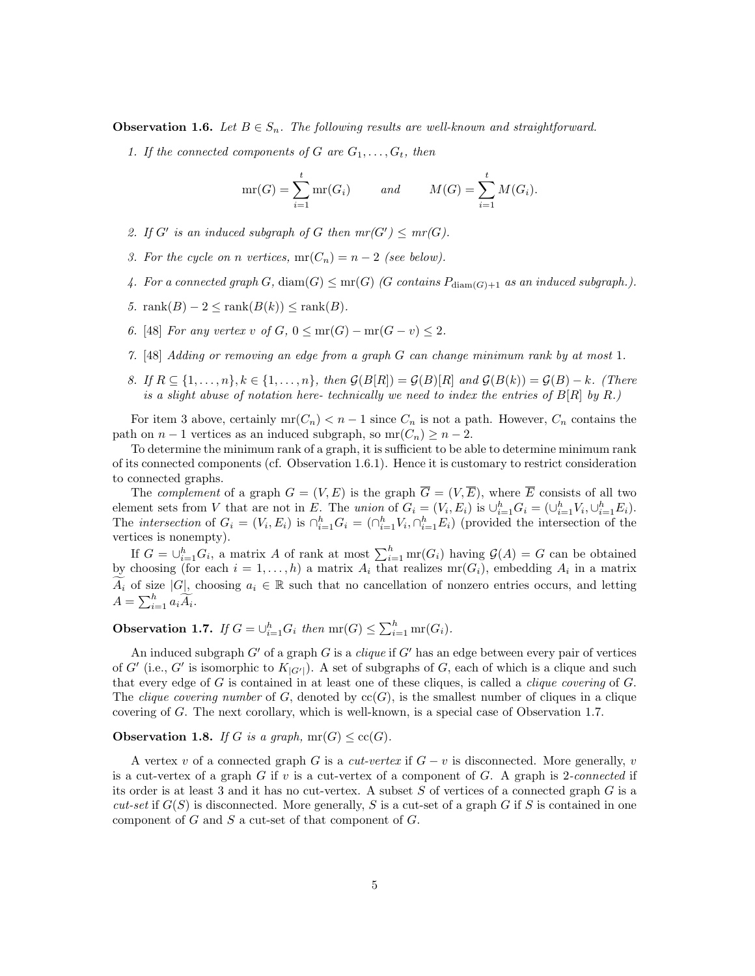**Observation 1.6.** Let  $B \in S_n$ . The following results are well-known and straightforward.

1. If the connected components of G are  $G_1, \ldots, G_t$ , then

$$
mr(G) = \sum_{i=1}^{t} mr(G_i) \qquad and \qquad M(G) = \sum_{i=1}^{t} M(G_i).
$$

- 2. If G' is an induced subgraph of G then  $mr(G') \leq mr(G)$ .
- 3. For the cycle on n vertices,  $mr(C_n) = n 2$  (see below).
- 4. For a connected graph  $G$ ,  $\text{diam}(G) \leq \text{mr}(G)$  (G contains  $P_{\text{diam}(G)+1}$  as an induced subgraph.).
- 5. rank $(B) 2 \leq$ rank $(B(k)) \leq$ rank $(B)$ .
- 6. [48] For any vertex v of  $G, 0 \leq mr(G) mr(G v) \leq 2$ .
- 7. [48] Adding or removing an edge from a graph G can change minimum rank by at most 1.
- 8. If  $R \subseteq \{1, \ldots, n\}$ ,  $k \in \{1, \ldots, n\}$ , then  $\mathcal{G}(B[R]) = \mathcal{G}(B)[R]$  and  $\mathcal{G}(B(k)) = \mathcal{G}(B) k$ . (There is a slight abuse of notation here- technically we need to index the entries of  $B[R]$  by R.)

For item 3 above, certainly  $mr(C_n) < n-1$  since  $C_n$  is not a path. However,  $C_n$  contains the path on  $n-1$  vertices as an induced subgraph, so  $mr(C_n) \geq n-2$ .

To determine the minimum rank of a graph, it is sufficient to be able to determine minimum rank of its connected components (cf. Observation 1.6.1). Hence it is customary to restrict consideration to connected graphs.

The *complement* of a graph  $G = (V, E)$  is the graph  $\overline{G} = (V, \overline{E})$ , where  $\overline{E}$  consists of all two element sets from V that are not in E. The union of  $G_i = (V_i, E_i)$  is  $\bigcup_{i=1}^h G_i = (\bigcup_{i=1}^h V_i, \bigcup_{i=1}^h E_i)$ . The *intersection* of  $G_i = (V_i, E_i)$  is  $\bigcap_{i=1}^h G_i = (\bigcap_{i=1}^h V_i, \bigcap_{i=1}^h E_i)$  (provided the intersection of the vertices is nonempty).

If  $G = \bigcup_{i=1}^h G_i$ , a matrix A of rank at most  $\sum_{i=1}^h \text{mr}(G_i)$  having  $\mathcal{G}(A) = G$  can be obtained by choosing (for each  $i = 1, ..., h$ ) a matrix  $A_i$  that realizes  $mr(G_i)$ , embedding  $A_i$  in a matrix  $A_i$  of size |G|, choosing  $a_i \in \mathbb{R}$  such that no cancellation of nonzero entries occurs, and letting  $A = \sum_{i=1}^{h} a_i \widetilde{A_i}.$ 

**Observation 1.7.** If  $G = \bigcup_{i=1}^{h} G_i$  then  $mr(G) \leq \sum_{i=1}^{h} mr(G_i)$ .

An induced subgraph  $G'$  of a graph G is a *clique* if  $G'$  has an edge between every pair of vertices of G' (i.e., G' is isomorphic to  $K_{|G'|}$ ). A set of subgraphs of G, each of which is a clique and such that every edge of  $G$  is contained in at least one of these cliques, is called a *clique covering* of  $G$ . The *clique covering number* of G, denoted by  $cc(G)$ , is the smallest number of cliques in a clique covering of G. The next corollary, which is well-known, is a special case of Observation 1.7.

#### **Observation 1.8.** If G is a graph,  $mr(G) \leq cc(G)$ .

A vertex v of a connected graph G is a cut-vertex if  $G - v$  is disconnected. More generally, v is a cut-vertex of a graph  $G$  if v is a cut-vertex of a component of  $G$ . A graph is 2-connected if its order is at least 3 and it has no cut-vertex. A subset  $S$  of vertices of a connected graph  $G$  is a cut-set if  $G(S)$  is disconnected. More generally, S is a cut-set of a graph G if S is contained in one component of  $G$  and  $S$  a cut-set of that component of  $G$ .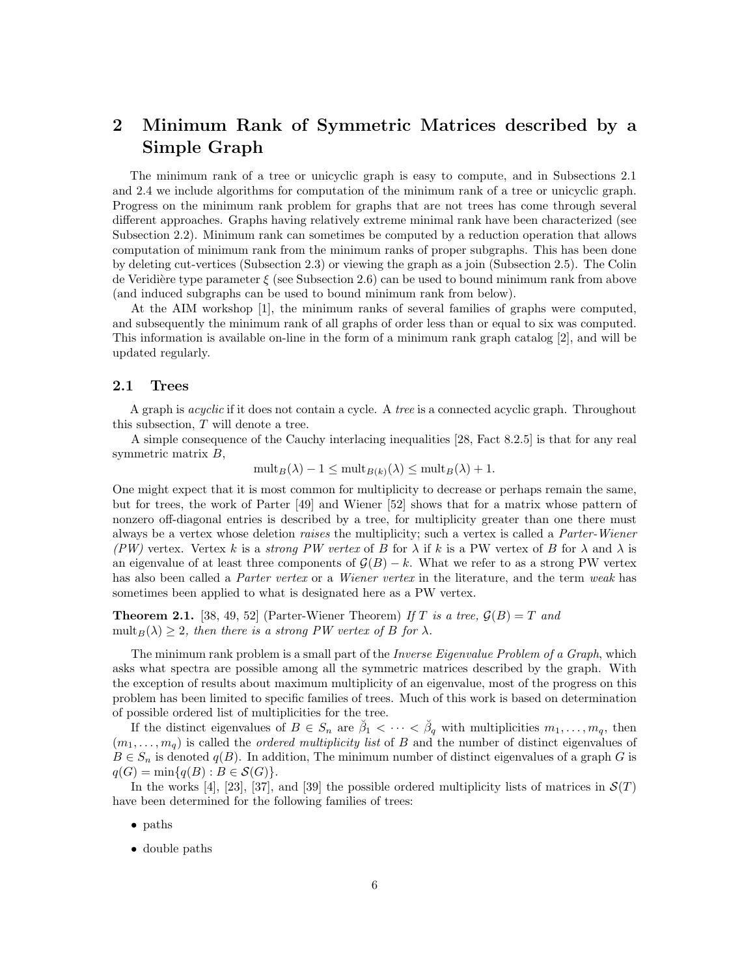## 2 Minimum Rank of Symmetric Matrices described by a Simple Graph

The minimum rank of a tree or unicyclic graph is easy to compute, and in Subsections 2.1 and 2.4 we include algorithms for computation of the minimum rank of a tree or unicyclic graph. Progress on the minimum rank problem for graphs that are not trees has come through several different approaches. Graphs having relatively extreme minimal rank have been characterized (see Subsection 2.2). Minimum rank can sometimes be computed by a reduction operation that allows computation of minimum rank from the minimum ranks of proper subgraphs. This has been done by deleting cut-vertices (Subsection 2.3) or viewing the graph as a join (Subsection 2.5). The Colin de Veridière type parameter  $\xi$  (see Subsection 2.6) can be used to bound minimum rank from above (and induced subgraphs can be used to bound minimum rank from below).

At the AIM workshop [1], the minimum ranks of several families of graphs were computed, and subsequently the minimum rank of all graphs of order less than or equal to six was computed. This information is available on-line in the form of a minimum rank graph catalog [2], and will be updated regularly.

#### 2.1 Trees

A graph is *acyclic* if it does not contain a cycle. A *tree* is a connected acyclic graph. Throughout this subsection, T will denote a tree.

A simple consequence of the Cauchy interlacing inequalities [28, Fact 8.2.5] is that for any real symmetric matrix B,

 $\text{mult}_B(\lambda) - 1 \leq \text{mult}_{B(k)}(\lambda) \leq \text{mult}_B(\lambda) + 1.$ 

One might expect that it is most common for multiplicity to decrease or perhaps remain the same, but for trees, the work of Parter [49] and Wiener [52] shows that for a matrix whose pattern of nonzero off-diagonal entries is described by a tree, for multiplicity greater than one there must always be a vertex whose deletion raises the multiplicity; such a vertex is called a Parter-Wiener (PW) vertex. Vertex k is a strong PW vertex of B for  $\lambda$  if k is a PW vertex of B for  $\lambda$  and  $\lambda$  is an eigenvalue of at least three components of  $\mathcal{G}(B) - k$ . What we refer to as a strong PW vertex has also been called a *Parter vertex* or a *Wiener vertex* in the literature, and the term weak has sometimes been applied to what is designated here as a PW vertex.

**Theorem 2.1.** [38, 49, 52] (Parter-Wiener Theorem) If T is a tree,  $\mathcal{G}(B) = T$  and mult<sub>B</sub>( $\lambda$ )  $\geq$  2, then there is a strong PW vertex of B for  $\lambda$ .

The minimum rank problem is a small part of the *Inverse Eigenvalue Problem of a Graph*, which asks what spectra are possible among all the symmetric matrices described by the graph. With the exception of results about maximum multiplicity of an eigenvalue, most of the progress on this problem has been limited to specific families of trees. Much of this work is based on determination of possible ordered list of multiplicities for the tree.

If the distinct eigenvalues of  $B \in S_n$  are  $\breve{\beta}_1 < \cdots < \breve{\beta}_q$  with multiplicities  $m_1, \ldots, m_q$ , then  $(m_1, \ldots, m_q)$  is called the *ordered multiplicity list* of B and the number of distinct eigenvalues of  $B \in S_n$  is denoted  $q(B)$ . In addition, The minimum number of distinct eigenvalues of a graph G is  $q(G) = \min\{q(B) : B \in \mathcal{S}(G)\}.$ 

In the works [4], [23], [37], and [39] the possible ordered multiplicity lists of matrices in  $\mathcal{S}(T)$ have been determined for the following families of trees:

- paths
- double paths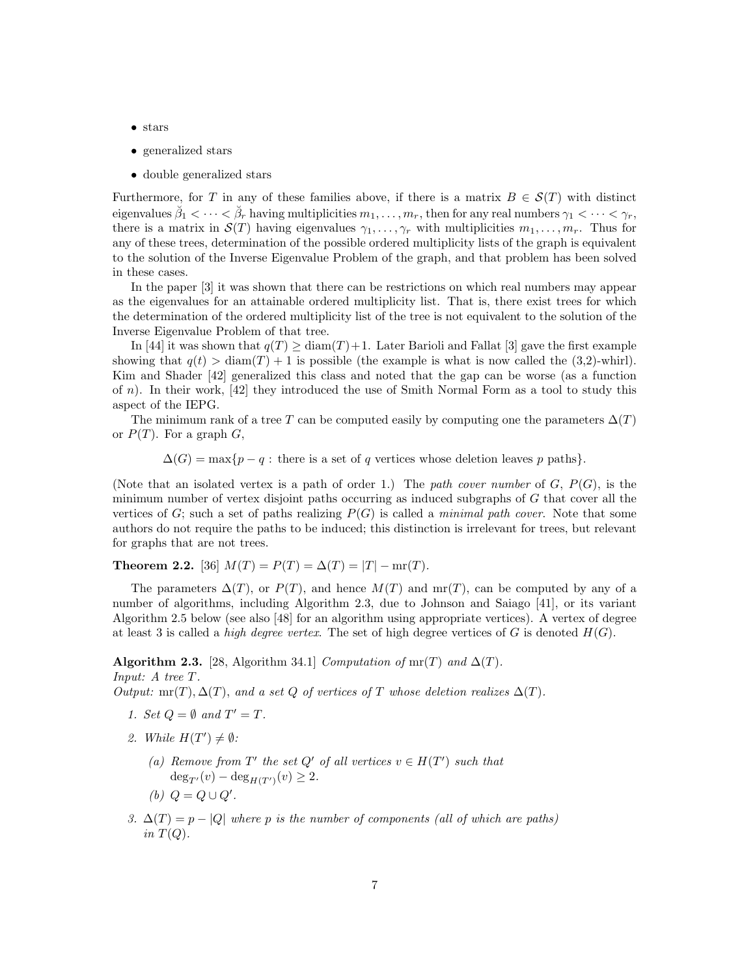- stars
- generalized stars
- double generalized stars

Furthermore, for T in any of these families above, if there is a matrix  $B \in \mathcal{S}(T)$  with distinct eigenvalues  $\breve{\beta}_1<\cdots<\breve{\beta}_r$  having multiplicities  $m_1,\ldots,m_r,$  then for any real numbers  $\gamma_1<\cdots<\gamma_r,$ there is a matrix in  $\mathcal{S}(T)$  having eigenvalues  $\gamma_1, \ldots, \gamma_r$  with multiplicities  $m_1, \ldots, m_r$ . Thus for any of these trees, determination of the possible ordered multiplicity lists of the graph is equivalent to the solution of the Inverse Eigenvalue Problem of the graph, and that problem has been solved in these cases.

In the paper [3] it was shown that there can be restrictions on which real numbers may appear as the eigenvalues for an attainable ordered multiplicity list. That is, there exist trees for which the determination of the ordered multiplicity list of the tree is not equivalent to the solution of the Inverse Eigenvalue Problem of that tree.

In [44] it was shown that  $q(T) \geq \text{diam}(T) + 1$ . Later Barioli and Fallat [3] gave the first example showing that  $q(t) > \text{diam}(T) + 1$  is possible (the example is what is now called the (3,2)-whirl). Kim and Shader [42] generalized this class and noted that the gap can be worse (as a function of  $n$ ). In their work,  $[42]$  they introduced the use of Smith Normal Form as a tool to study this aspect of the IEPG.

The minimum rank of a tree T can be computed easily by computing one the parameters  $\Delta(T)$ or  $P(T)$ . For a graph  $G$ ,

 $\Delta(G) = \max\{p - q : \text{there is a set of } q \text{ vertices whose deletion leaves } p \text{ paths}\}.$ 

(Note that an isolated vertex is a path of order 1.) The path cover number of  $G, P(G)$ , is the minimum number of vertex disjoint paths occurring as induced subgraphs of G that cover all the vertices of G; such a set of paths realizing  $P(G)$  is called a *minimal path cover*. Note that some authors do not require the paths to be induced; this distinction is irrelevant for trees, but relevant for graphs that are not trees.

Theorem 2.2. [36]  $M(T) = P(T) = \Delta(T) = |T| - \text{mr}(T)$ .

The parameters  $\Delta(T)$ , or  $P(T)$ , and hence  $M(T)$  and  $mr(T)$ , can be computed by any of a number of algorithms, including Algorithm 2.3, due to Johnson and Saiago [41], or its variant Algorithm 2.5 below (see also [48] for an algorithm using appropriate vertices). A vertex of degree at least 3 is called a *high degree vertex*. The set of high degree vertices of G is denoted  $H(G)$ .

Algorithm 2.3. [28, Algorithm 34.1] Computation of mr(T) and  $\Delta(T)$ . Input: A tree T.

Output: mr(T),  $\Delta(T)$ , and a set Q of vertices of T whose deletion realizes  $\Delta(T)$ .

- 1. Set  $Q = \emptyset$  and  $T' = T$ .
- 2. While  $H(T') \neq \emptyset$ :
	- (a) Remove from T' the set Q' of all vertices  $v \in H(T')$  such that  $deg_{T'}(v) - deg_{H(T')}(v) \geq 2.$
	- (b)  $Q = Q \cup Q'$ .
- 3.  $\Delta(T) = p |Q|$  where p is the number of components (all of which are paths) in  $T(Q)$ .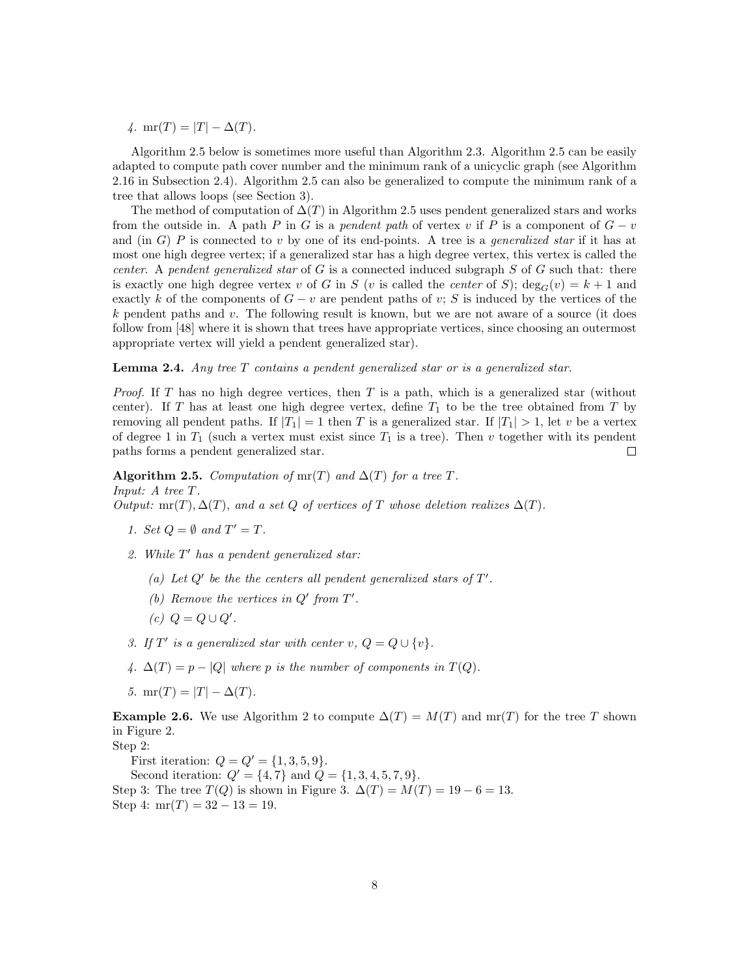4. mr(T) = |T| -  $\Delta(T)$ .

Algorithm 2.5 below is sometimes more useful than Algorithm 2.3. Algorithm 2.5 can be easily adapted to compute path cover number and the minimum rank of a unicyclic graph (see Algorithm 2.16 in Subsection 2.4). Algorithm 2.5 can also be generalized to compute the minimum rank of a tree that allows loops (see Section 3).

The method of computation of  $\Delta(T)$  in Algorithm 2.5 uses pendent generalized stars and works from the outside in. A path P in G is a pendent path of vertex v if P is a component of  $G - v$ and (in G) P is connected to v by one of its end-points. A tree is a *generalized star* if it has at most one high degree vertex; if a generalized star has a high degree vertex, this vertex is called the center. A pendent generalized star of  $G$  is a connected induced subgraph  $S$  of  $G$  such that: there is exactly one high degree vertex v of G in S (v is called the *center* of S);  $\deg_G(v) = k + 1$  and exactly k of the components of  $G - v$  are pendent paths of v; S is induced by the vertices of the  $k$  pendent paths and v. The following result is known, but we are not aware of a source (it does follow from [48] where it is shown that trees have appropriate vertices, since choosing an outermost appropriate vertex will yield a pendent generalized star).

Lemma 2.4. Any tree T contains a pendent generalized star or is a generalized star.

*Proof.* If T has no high degree vertices, then T is a path, which is a generalized star (without center). If T has at least one high degree vertex, define  $T_1$  to be the tree obtained from T by removing all pendent paths. If  $|T_1| = 1$  then T is a generalized star. If  $|T_1| > 1$ , let v be a vertex of degree 1 in  $T_1$  (such a vertex must exist since  $T_1$  is a tree). Then v together with its pendent paths forms a pendent generalized star.  $\Box$ 

Algorithm 2.5. Computation of mr(T) and  $\Delta(T)$  for a tree T. Input: A tree T. Output: mr(T),  $\Delta(T)$ , and a set Q of vertices of T whose deletion realizes  $\Delta(T)$ .

- 1. Set  $Q = \emptyset$  and  $T' = T$ .
- 2. While  $T'$  has a pendent generalized star:
	- (a) Let  $Q'$  be the the centers all pendent generalized stars of  $T'$ .
	- (b) Remove the vertices in  $Q'$  from  $T'$ .
	- $(c) Q = Q \cup Q'.$
- 3. If T' is a generalized star with center v,  $Q = Q \cup \{v\}$ .
- 4.  $\Delta(T) = p |Q|$  where p is the number of components in  $T(Q)$ .
- 5. mr(T) = |T|  $\Delta(T)$ .

**Example 2.6.** We use Algorithm 2 to compute  $\Delta(T) = M(T)$  and mr(T) for the tree T shown in Figure 2.

Step 2:

First iteration:  $Q = Q' = \{1, 3, 5, 9\}.$ 

Second iteration:  $Q' = \{4, 7\}$  and  $Q = \{1, 3, 4, 5, 7, 9\}.$ Step 3: The tree  $T(Q)$  is shown in Figure 3.  $\Delta(T) = M(T) = 19 - 6 = 13$ . Step 4:  $mr(T) = 32 - 13 = 19$ .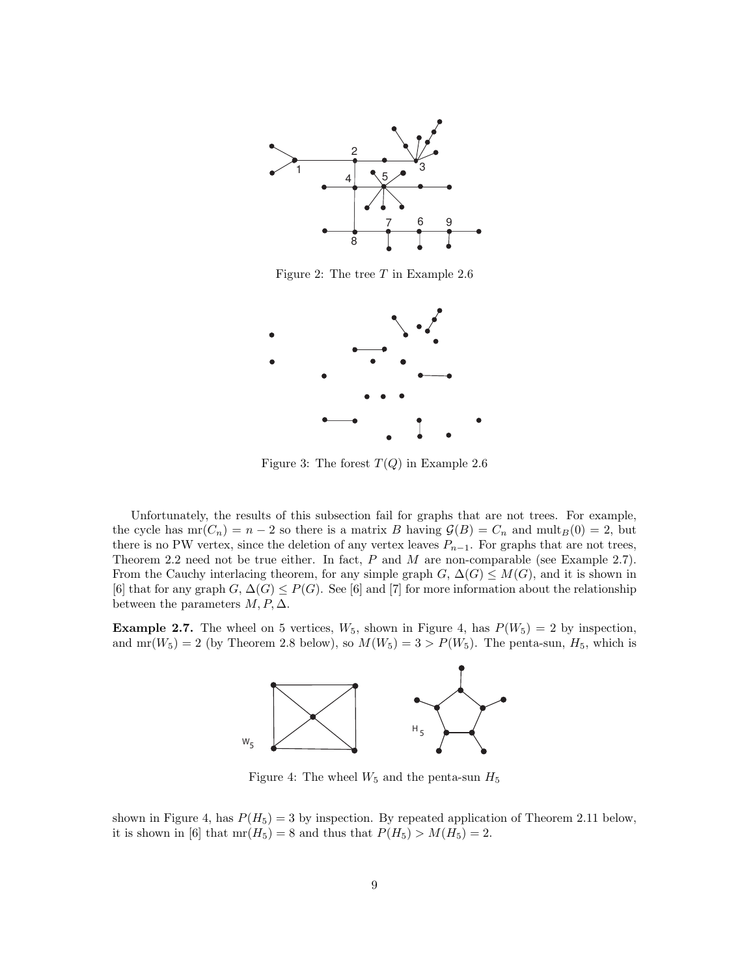

Figure 2: The tree  $T$  in Example 2.6



Figure 3: The forest  $T(Q)$  in Example 2.6

Unfortunately, the results of this subsection fail for graphs that are not trees. For example, the cycle has  $mr(C_n) = n - 2$  so there is a matrix B having  $\mathcal{G}(B) = C_n$  and  $mult_B(0) = 2$ , but there is no PW vertex, since the deletion of any vertex leaves  $P_{n-1}$ . For graphs that are not trees, Theorem 2.2 need not be true either. In fact,  $P$  and  $M$  are non-comparable (see Example 2.7). From the Cauchy interlacing theorem, for any simple graph  $G$ ,  $\Delta(G) \leq M(G)$ , and it is shown in [6] that for any graph  $G, \Delta(G) \leq P(G)$ . See [6] and [7] for more information about the relationship between the parameters  $M, P, \Delta$ .

**Example 2.7.** The wheel on 5 vertices,  $W_5$ , shown in Figure 4, has  $P(W_5) = 2$  by inspection, and mr( $W_5$ ) = 2 (by Theorem 2.8 below), so  $M(W_5) = 3 > P(W_5)$ . The penta-sun,  $H_5$ , which is



Figure 4: The wheel  $W_5$  and the penta-sun  $H_5$ 

shown in Figure 4, has  $P(H_5) = 3$  by inspection. By repeated application of Theorem 2.11 below, it is shown in [6] that  $mr(H_5) = 8$  and thus that  $P(H_5) > M(H_5) = 2$ .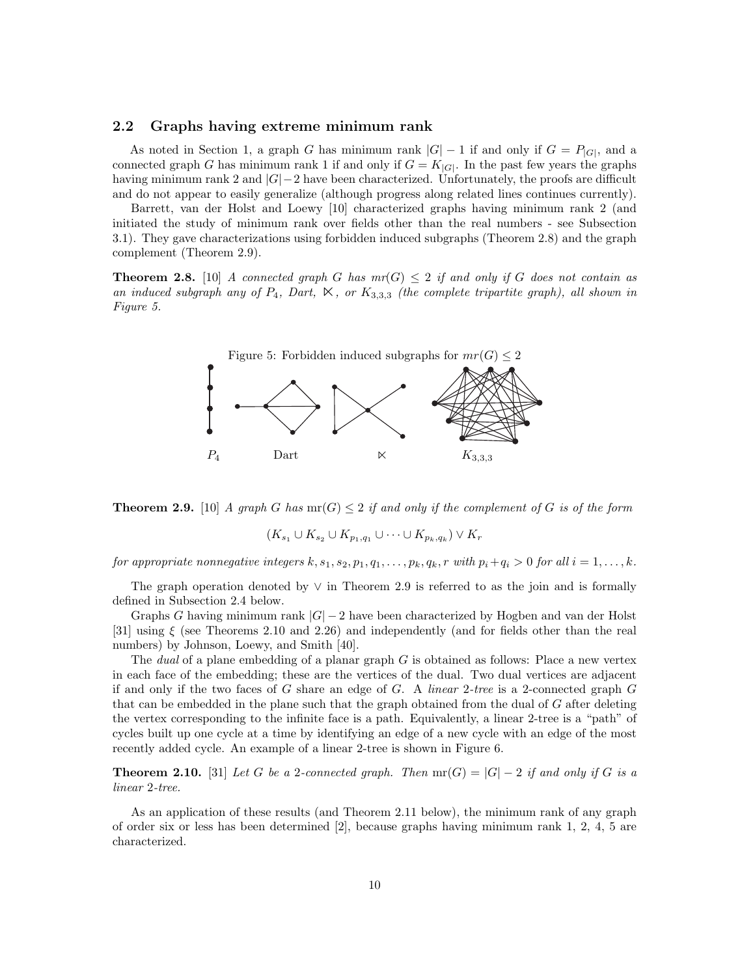#### 2.2 Graphs having extreme minimum rank

As noted in Section 1, a graph G has minimum rank  $|G| - 1$  if and only if  $G = P_{|G|}$ , and a connected graph G has minimum rank 1 if and only if  $G = K_{|G|}$ . In the past few years the graphs having minimum rank 2 and |G|−2 have been characterized. Unfortunately, the proofs are difficult and do not appear to easily generalize (although progress along related lines continues currently).

Barrett, van der Holst and Loewy [10] characterized graphs having minimum rank 2 (and initiated the study of minimum rank over fields other than the real numbers - see Subsection 3.1). They gave characterizations using forbidden induced subgraphs (Theorem 2.8) and the graph complement (Theorem 2.9).

**Theorem 2.8.** [10] A connected graph G has  $mr(G) \leq 2$  if and only if G does not contain as an induced subgraph any of  $P_4$ , Dart,  $\ltimes$ , or  $K_{3,3,3}$  (the complete tripartite graph), all shown in Figure 5.





$$
(K_{s_1} \cup K_{s_2} \cup K_{p_1,q_1} \cup \cdots \cup K_{p_k,q_k}) \vee K_r
$$

for appropriate nonnegative integers  $k, s_1, s_2, p_1, q_1, \ldots, p_k, q_k, r$  with  $p_i + q_i > 0$  for all  $i = 1, \ldots, k$ .

The graph operation denoted by ∨ in Theorem 2.9 is referred to as the join and is formally defined in Subsection 2.4 below.

Graphs G having minimum rank  $|G| - 2$  have been characterized by Hogben and van der Holst [31] using ξ (see Theorems 2.10 and 2.26) and independently (and for fields other than the real numbers) by Johnson, Loewy, and Smith [40].

The *dual* of a plane embedding of a planar graph  $G$  is obtained as follows: Place a new vertex in each face of the embedding; these are the vertices of the dual. Two dual vertices are adjacent if and only if the two faces of G share an edge of G. A linear 2-tree is a 2-connected graph  $G$ that can be embedded in the plane such that the graph obtained from the dual of G after deleting the vertex corresponding to the infinite face is a path. Equivalently, a linear 2-tree is a "path" of cycles built up one cycle at a time by identifying an edge of a new cycle with an edge of the most recently added cycle. An example of a linear 2-tree is shown in Figure 6.

**Theorem 2.10.** [31] Let G be a 2-connected graph. Then  $\text{mr}(G) = |G| - 2$  if and only if G is a linear 2-tree.

As an application of these results (and Theorem 2.11 below), the minimum rank of any graph of order six or less has been determined [2], because graphs having minimum rank 1, 2, 4, 5 are characterized.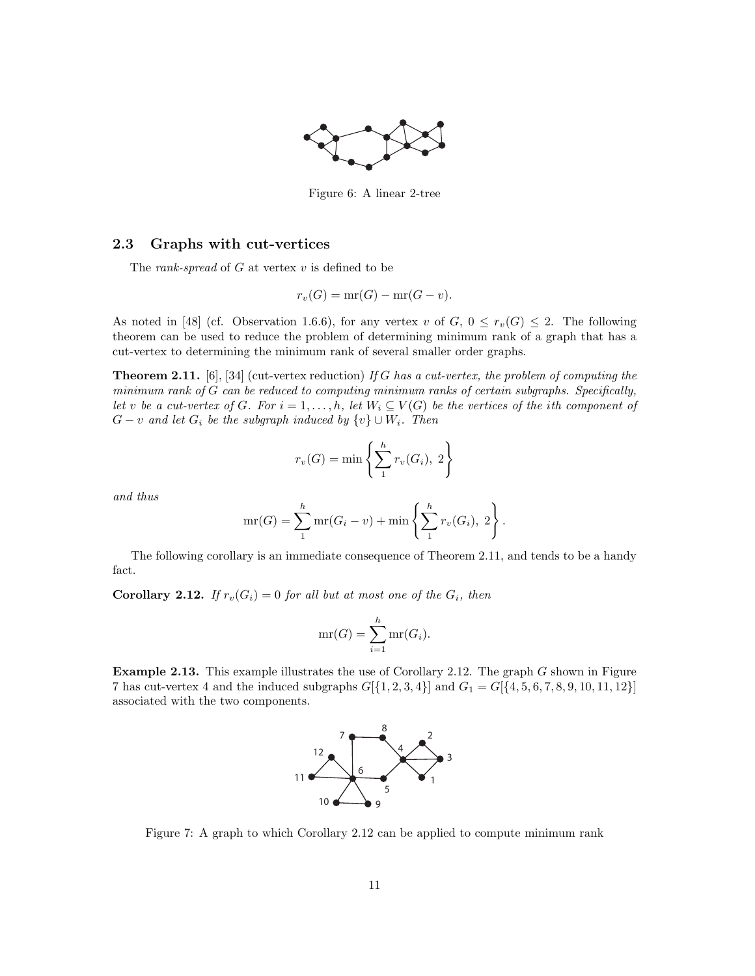

Figure 6: A linear 2-tree

### 2.3 Graphs with cut-vertices

The *rank-spread* of  $G$  at vertex  $v$  is defined to be

$$
r_v(G) = \operatorname{mr}(G) - \operatorname{mr}(G - v).
$$

As noted in [48] (cf. Observation 1.6.6), for any vertex v of  $G, 0 \leq r_v(G) \leq 2$ . The following theorem can be used to reduce the problem of determining minimum rank of a graph that has a cut-vertex to determining the minimum rank of several smaller order graphs.

**Theorem 2.11.** [6], [34] (cut-vertex reduction) If G has a cut-vertex, the problem of computing the minimum rank of G can be reduced to computing minimum ranks of certain subgraphs. Specifically, let v be a cut-vertex of G. For  $i = 1, ..., h$ , let  $W_i \subseteq V(G)$  be the vertices of the ith component of  $G - v$  and let  $G_i$  be the subgraph induced by  $\{v\} \cup W_i$ . Then

$$
r_v(G) = \min\left\{\sum_{1}^{h} r_v(G_i), 2\right\}
$$

and thus

$$
mr(G) = \sum_{1}^{h} mr(G_i - v) + min\left\{\sum_{1}^{h} r_v(G_i), 2\right\}.
$$

The following corollary is an immediate consequence of Theorem 2.11, and tends to be a handy fact.

**Corollary 2.12.** If  $r_v(G_i) = 0$  for all but at most one of the  $G_i$ , then

$$
mr(G) = \sum_{i=1}^{h} mr(G_i).
$$

Example 2.13. This example illustrates the use of Corollary 2.12. The graph G shown in Figure 7 has cut-vertex 4 and the induced subgraphs  $G[{1, 2, 3, 4}]$  and  $G_1 = G[{4, 5, 6, 7, 8, 9, 10, 11, 12}]$ associated with the two components.



Figure 7: A graph to which Corollary 2.12 can be applied to compute minimum rank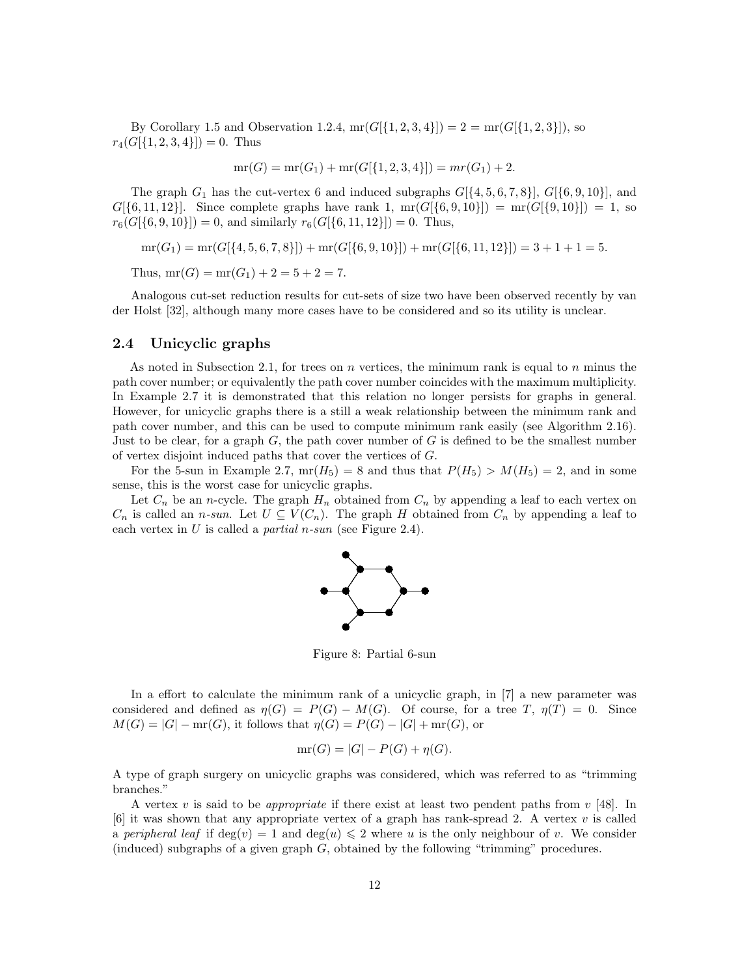By Corollary 1.5 and Observation 1.2.4,  $mr(G[\{1, 2, 3, 4\}]) = 2 = mr(G[\{1, 2, 3\}])$ , so  $r_4(G[\{1, 2, 3, 4\}]) = 0$ . Thus

$$
mr(G) = mr(G_1) + mr(G[\{1, 2, 3, 4\}]) = mr(G_1) + 2.
$$

The graph  $G_1$  has the cut-vertex 6 and induced subgraphs  $G[\{4, 5, 6, 7, 8\}], G[\{6, 9, 10\}],$  and  $G[{6, 11, 12}]$ . Since complete graphs have rank 1,  $mr(G[{6, 9, 10}] ) = mr(G[{9, 10}] ) = 1$ , so  $r_6(G[\{6, 9, 10\}]) = 0$ , and similarly  $r_6(G[\{6, 11, 12\}]) = 0$ . Thus,

$$
\operatorname{mr}(G_1)=\operatorname{mr}(G[\{4,5,6,7,8\}]) + \operatorname{mr}(G[\{6,9,10\}]) + \operatorname{mr}(G[\{6,11,12\}]) = 3+1+1=5.
$$

Thus,  $mr(G) = mr(G_1) + 2 = 5 + 2 = 7$ .

Analogous cut-set reduction results for cut-sets of size two have been observed recently by van der Holst [32], although many more cases have to be considered and so its utility is unclear.

#### 2.4 Unicyclic graphs

As noted in Subsection 2.1, for trees on n vertices, the minimum rank is equal to n minus the path cover number; or equivalently the path cover number coincides with the maximum multiplicity. In Example 2.7 it is demonstrated that this relation no longer persists for graphs in general. However, for unicyclic graphs there is a still a weak relationship between the minimum rank and path cover number, and this can be used to compute minimum rank easily (see Algorithm 2.16). Just to be clear, for a graph  $G$ , the path cover number of  $G$  is defined to be the smallest number of vertex disjoint induced paths that cover the vertices of G.

For the 5-sun in Example 2.7,  $mr(H_5) = 8$  and thus that  $P(H_5) > M(H_5) = 2$ , and in some sense, this is the worst case for unicyclic graphs.

Let  $C_n$  be an *n*-cycle. The graph  $H_n$  obtained from  $C_n$  by appending a leaf to each vertex on  $C_n$  is called an *n*-sun. Let  $U \subseteq V(C_n)$ . The graph H obtained from  $C_n$  by appending a leaf to each vertex in  $U$  is called a *partial n-sun* (see Figure 2.4).



Figure 8: Partial 6-sun

In a effort to calculate the minimum rank of a unicyclic graph, in [7] a new parameter was considered and defined as  $\eta(G) = P(G) - M(G)$ . Of course, for a tree T,  $\eta(T) = 0$ . Since  $M(G) = |G| - \text{mr}(G)$ , it follows that  $\eta(G) = P(G) - |G| + \text{mr}(G)$ , or

$$
mr(G) = |G| - P(G) + \eta(G).
$$

A type of graph surgery on unicyclic graphs was considered, which was referred to as "trimming branches."

A vertex v is said to be *appropriate* if there exist at least two pendent paths from  $v$  [48]. In  $[6]$  it was shown that any appropriate vertex of a graph has rank-spread 2. A vertex v is called a peripheral leaf if  $\deg(v) = 1$  and  $\deg(u) \leq 2$  where u is the only neighbour of v. We consider (induced) subgraphs of a given graph  $G$ , obtained by the following "trimming" procedures.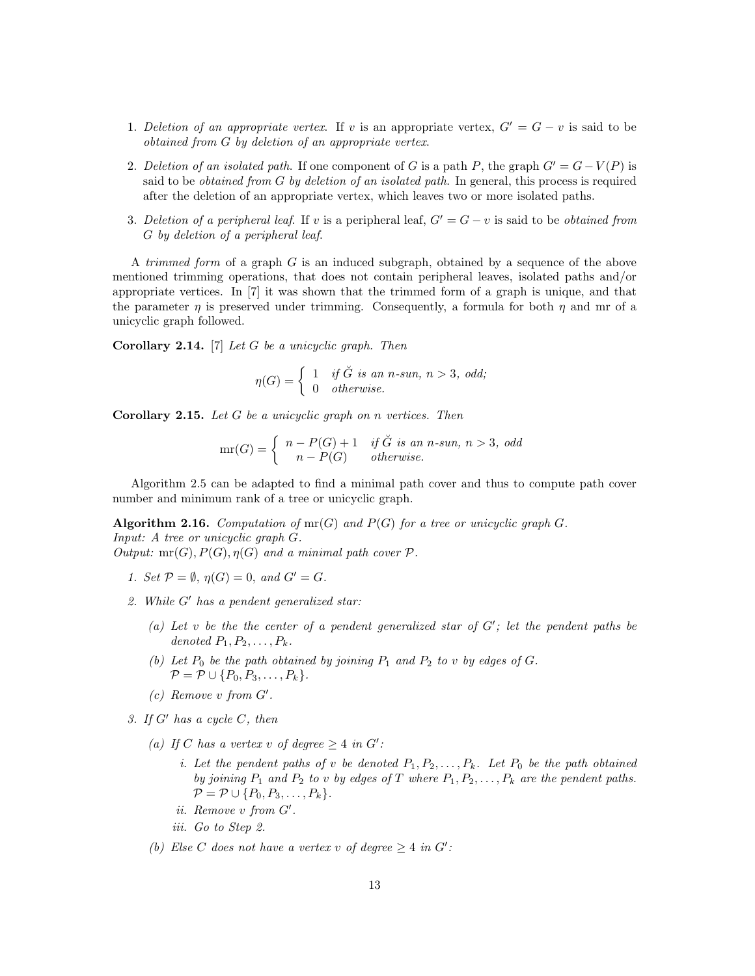- 1. Deletion of an appropriate vertex. If v is an appropriate vertex,  $G' = G v$  is said to be obtained from G by deletion of an appropriate vertex.
- 2. Deletion of an isolated path. If one component of G is a path P, the graph  $G' = G V(P)$  is said to be *obtained from G by deletion of an isolated path*. In general, this process is required after the deletion of an appropriate vertex, which leaves two or more isolated paths.
- 3. Deletion of a peripheral leaf. If v is a peripheral leaf,  $G' = G v$  is said to be obtained from G by deletion of a peripheral leaf.

A trimmed form of a graph G is an induced subgraph, obtained by a sequence of the above mentioned trimming operations, that does not contain peripheral leaves, isolated paths and/or appropriate vertices. In [7] it was shown that the trimmed form of a graph is unique, and that the parameter  $\eta$  is preserved under trimming. Consequently, a formula for both  $\eta$  and mr of a unicyclic graph followed.

**Corollary 2.14.** [7] Let G be a unicyclic graph. Then

$$
\eta(G) = \begin{cases} 1 & \text{if } \check{G} \text{ is an } n\text{-sun, } n > 3, \text{ odd;} \\ 0 & \text{otherwise.} \end{cases}
$$

**Corollary 2.15.** Let  $G$  be a unicyclic graph on n vertices. Then

$$
mr(G) = \begin{cases} n - P(G) + 1 & \text{if } G \text{ is an } n\text{-sun, } n > 3, \text{ odd} \\ n - P(G) & \text{otherwise.} \end{cases}
$$

Algorithm 2.5 can be adapted to find a minimal path cover and thus to compute path cover number and minimum rank of a tree or unicyclic graph.

**Algorithm 2.16.** Computation of  $mr(G)$  and  $P(G)$  for a tree or unicyclic graph G. Input: A tree or unicyclic graph G. Output:  $mr(G), P(G), \eta(G)$  and a minimal path cover  $\mathcal{P}$ .

- 1. Set  $P = \emptyset$ ,  $\eta(G) = 0$ , and  $G' = G$ .
- 2. While  $G'$  has a pendent generalized star:
	- (a) Let v be the the center of a pendent generalized star of  $G'$ ; let the pendent paths be denoted  $P_1, P_2, \ldots, P_k$ .
	- (b) Let  $P_0$  be the path obtained by joining  $P_1$  and  $P_2$  to v by edges of G.  $\mathcal{P} = \mathcal{P} \cup \{P_0, P_3, \ldots, P_k\}.$
	- $(c)$  Remove v from  $G'$ .
- 3. If  $G'$  has a cycle C, then
	- (a) If C has a vertex v of degree  $\geq 4$  in G':
		- i. Let the pendent paths of v be denoted  $P_1, P_2, \ldots, P_k$ . Let  $P_0$  be the path obtained by joining  $P_1$  and  $P_2$  to v by edges of T where  $P_1, P_2, \ldots, P_k$  are the pendent paths.  $\mathcal{P} = \mathcal{P} \cup \{P_0, P_3, \ldots, P_k\}.$
		- $ii.$  Remove  $v$  from  $G'$ .
		- iii. Go to Step 2.
	- (b) Else C does not have a vertex v of degree  $\geq 4$  in G':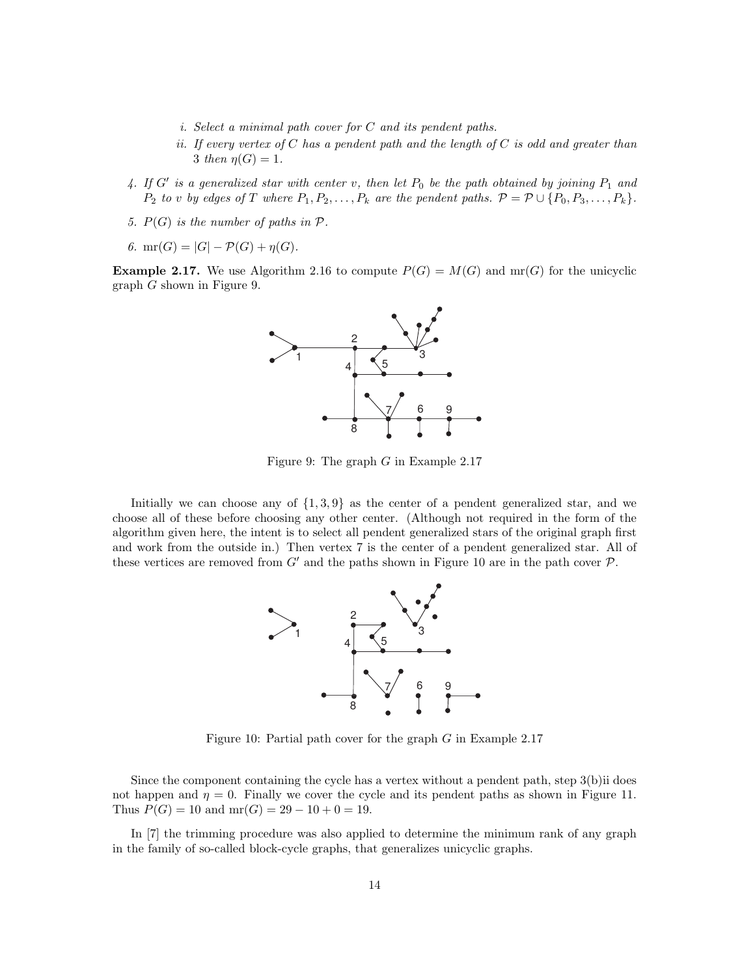- i. Select a minimal path cover for C and its pendent paths.
- ii. If every vertex of  $C$  has a pendent path and the length of  $C$  is odd and greater than 3 then  $n(G) = 1$ .
- 4. If G' is a generalized star with center v, then let  $P_0$  be the path obtained by joining  $P_1$  and  $P_2$  to v by edges of T where  $P_1, P_2, \ldots, P_k$  are the pendent paths.  $P = \mathcal{P} \cup \{P_0, P_3, \ldots, P_k\}.$
- 5.  $P(G)$  is the number of paths in  $P$ .
- 6.  $mr(G) = |G| P(G) + \eta(G)$ .

**Example 2.17.** We use Algorithm 2.16 to compute  $P(G) = M(G)$  and mr(G) for the unicyclic graph G shown in Figure 9.



Figure 9: The graph  $G$  in Example 2.17

Initially we can choose any of  $\{1, 3, 9\}$  as the center of a pendent generalized star, and we choose all of these before choosing any other center. (Although not required in the form of the algorithm given here, the intent is to select all pendent generalized stars of the original graph first and work from the outside in.) Then vertex 7 is the center of a pendent generalized star. All of these vertices are removed from  $G'$  and the paths shown in Figure 10 are in the path cover  $\mathcal P$ .



Figure 10: Partial path cover for the graph  $G$  in Example 2.17

Since the component containing the cycle has a vertex without a pendent path, step 3(b)ii does not happen and  $\eta = 0$ . Finally we cover the cycle and its pendent paths as shown in Figure 11. Thus  $P(G) = 10$  and  $mr(G) = 29 - 10 + 0 = 19$ .

In [7] the trimming procedure was also applied to determine the minimum rank of any graph in the family of so-called block-cycle graphs, that generalizes unicyclic graphs.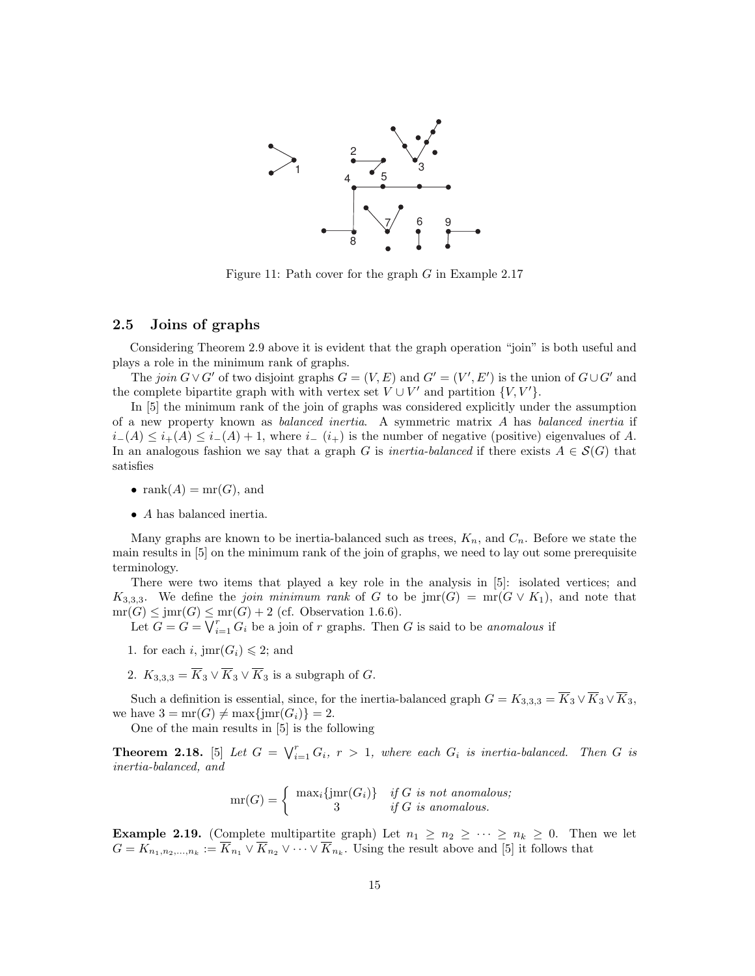

Figure 11: Path cover for the graph  $G$  in Example 2.17

#### 2.5 Joins of graphs

Considering Theorem 2.9 above it is evident that the graph operation "join" is both useful and plays a role in the minimum rank of graphs.

The join  $G \vee G'$  of two disjoint graphs  $G = (V, E)$  and  $G' = (V', E')$  is the union of  $G \cup G'$  and the complete bipartite graph with with vertex set  $V \cup V'$  and partition  $\{V, V'\}$ .

In [5] the minimum rank of the join of graphs was considered explicitly under the assumption of a new property known as balanced inertia. A symmetric matrix A has balanced inertia if  $i-(A) \leq i+(A) \leq i-(A) + 1$ , where  $i-(i_+)$  is the number of negative (positive) eigenvalues of A. In an analogous fashion we say that a graph G is *inertia-balanced* if there exists  $A \in \mathcal{S}(G)$  that satisfies

- $rank(A) = mr(G)$ , and
- A has balanced inertia.

Many graphs are known to be inertia-balanced such as trees,  $K_n$ , and  $C_n$ . Before we state the main results in [5] on the minimum rank of the join of graphs, we need to lay out some prerequisite terminology.

There were two items that played a key role in the analysis in [5]: isolated vertices; and  $K_{3,3,3}$ . We define the *join minimum rank* of G to be jmr(G) = mr( $G \vee K_1$ ), and note that  $mr(G) \leq jmr(G) \leq mr(G) + 2$  (cf. Observation 1.6.6).

Let  $G = G = \bigvee_{i=1}^{r} G_i$  be a join of r graphs. Then G is said to be anomalous if

- 1. for each i,  $\text{jmr}(G_i) \leq 2$ ; and
- 2.  $K_{3,3,3} = \overline{K}_3 \vee \overline{K}_3 \vee \overline{K}_3$  is a subgraph of G.

Such a definition is essential, since, for the inertia-balanced graph  $G = K_{3,3,3} = \overline{K}_3 \vee \overline{K}_3 \vee \overline{K}_3$ , we have  $3 = \text{mr}(G) \neq \text{max}\{\text{imr}(G_i)\} = 2.$ 

One of the main results in [5] is the following

**Theorem 2.18.** [5] Let  $G = \bigvee_{i=1}^{r} G_i$ ,  $r > 1$ , where each  $G_i$  is inertia-balanced. Then G is inertia-balanced, and

$$
mr(G) = \begin{cases} \max_i \{jmr(G_i)\} & if G \text{ is not anomalous;} \\ 3 & if G \text{ is anomalous.} \end{cases}
$$

**Example 2.19.** (Complete multipartite graph) Let  $n_1 \geq n_2 \geq \cdots \geq n_k \geq 0$ . Then we let  $G = K_{n_1, n_2, ..., n_k} := \overline{K}_{n_1} \vee \overline{K}_{n_2} \vee \cdots \vee \overline{K}_{n_k}$ . Using the result above and [5] it follows that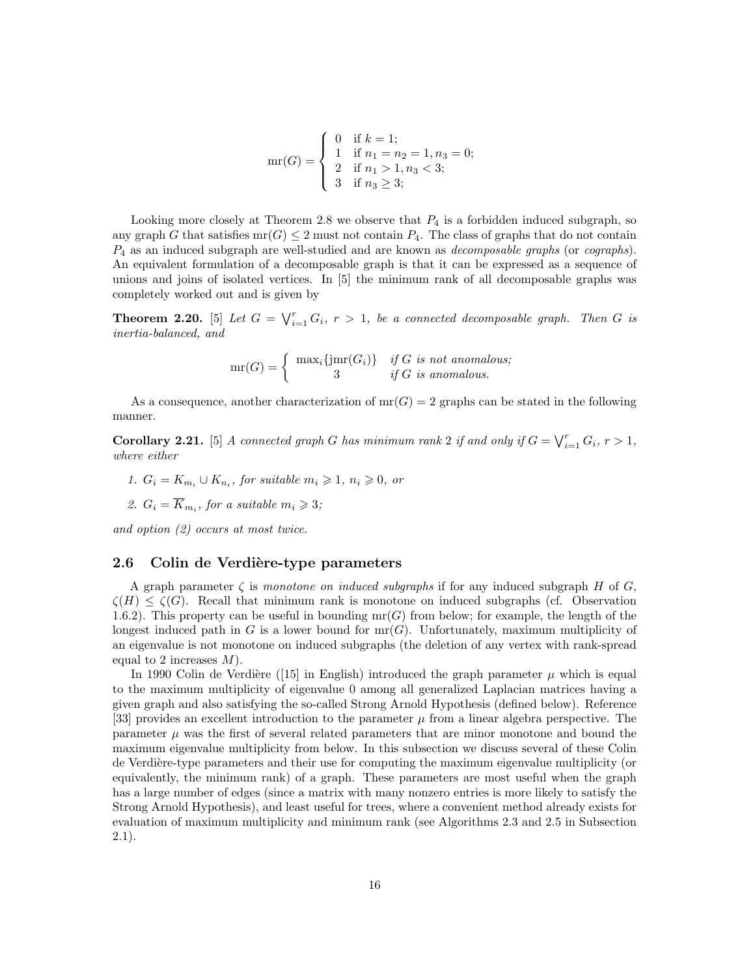$$
mr(G) = \begin{cases} 0 & \text{if } k = 1; \\ 1 & \text{if } n_1 = n_2 = 1, n_3 = 0; \\ 2 & \text{if } n_1 > 1, n_3 < 3; \\ 3 & \text{if } n_3 \ge 3; \end{cases}
$$

Looking more closely at Theorem 2.8 we observe that  $P_4$  is a forbidden induced subgraph, so any graph G that satisfies  $\text{mr}(G) \leq 2$  must not contain  $P_4$ . The class of graphs that do not contain  $P_4$  as an induced subgraph are well-studied and are known as *decomposable graphs* (or *cographs*). An equivalent formulation of a decomposable graph is that it can be expressed as a sequence of unions and joins of isolated vertices. In [5] the minimum rank of all decomposable graphs was completely worked out and is given by

**Theorem 2.20.** [5] Let  $G = \bigvee_{i=1}^{r} G_i$ ,  $r > 1$ , be a connected decomposable graph. Then G is inertia-balanced, and

$$
mr(G) = \begin{cases} max_i \{jmr(G_i)\} & if G \text{ is not anomalous;} \\ 3 & if G \text{ is anomalous.} \end{cases}
$$

As a consequence, another characterization of  $mr(G) = 2$  graphs can be stated in the following manner.

**Corollary 2.21.** [5] A connected graph G has minimum rank 2 if and only if  $G = \bigvee_{i=1}^{r} G_i$ ,  $r > 1$ , where either

1.  $G_i = K_{m_i} \cup K_{n_i}$ , for suitable  $m_i \geq 1$ ,  $n_i \geq 0$ , or

2. 
$$
G_i = \overline{K}_{m_i}
$$
, for a suitable  $m_i \geq 3$ ;

and option (2) occurs at most twice.

#### 2.6 Colin de Verdière-type parameters

A graph parameter  $\zeta$  is monotone on induced subgraphs if for any induced subgraph H of G,  $\zeta(H) \leq \zeta(G)$ . Recall that minimum rank is monotone on induced subgraphs (cf. Observation 1.6.2). This property can be useful in bounding  $mr(G)$  from below; for example, the length of the longest induced path in G is a lower bound for  $mr(G)$ . Unfortunately, maximum multiplicity of an eigenvalue is not monotone on induced subgraphs (the deletion of any vertex with rank-spread equal to 2 increases  $M$ ).

In 1990 Colin de Verdière ([15] in English) introduced the graph parameter  $\mu$  which is equal to the maximum multiplicity of eigenvalue 0 among all generalized Laplacian matrices having a given graph and also satisfying the so-called Strong Arnold Hypothesis (defined below). Reference [33] provides an excellent introduction to the parameter  $\mu$  from a linear algebra perspective. The parameter  $\mu$  was the first of several related parameters that are minor monotone and bound the maximum eigenvalue multiplicity from below. In this subsection we discuss several of these Colin de Verdière-type parameters and their use for computing the maximum eigenvalue multiplicity (or equivalently, the minimum rank) of a graph. These parameters are most useful when the graph has a large number of edges (since a matrix with many nonzero entries is more likely to satisfy the Strong Arnold Hypothesis), and least useful for trees, where a convenient method already exists for evaluation of maximum multiplicity and minimum rank (see Algorithms 2.3 and 2.5 in Subsection 2.1).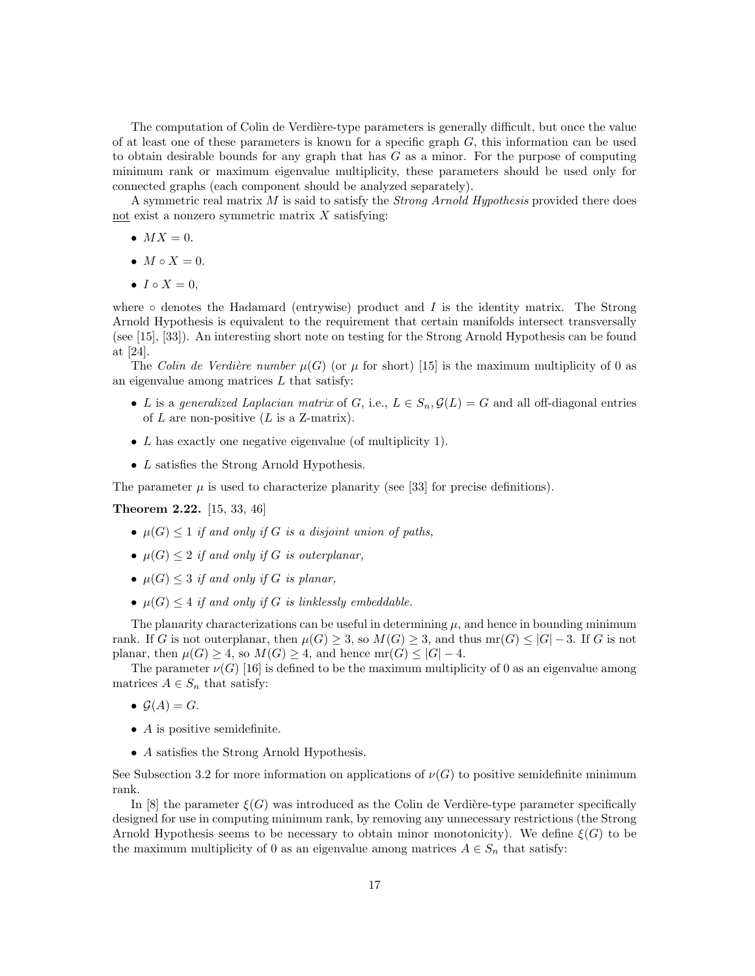The computation of Colin de Verdière-type parameters is generally difficult, but once the value of at least one of these parameters is known for a specific graph  $G$ , this information can be used to obtain desirable bounds for any graph that has  $G$  as a minor. For the purpose of computing minimum rank or maximum eigenvalue multiplicity, these parameters should be used only for connected graphs (each component should be analyzed separately).

A symmetric real matrix  $M$  is said to satisfy the *Strong Arnold Hypothesis* provided there does not exist a nonzero symmetric matrix  $X$  satisfying:

- $MX = 0$ .
- $M \circ X = 0$ .
- $I \circ X = 0$ .

where  $\circ$  denotes the Hadamard (entrywise) product and I is the identity matrix. The Strong Arnold Hypothesis is equivalent to the requirement that certain manifolds intersect transversally (see [15], [33]). An interesting short note on testing for the Strong Arnold Hypothesis can be found at [24].

The Colin de Verdière number  $\mu(G)$  (or  $\mu$  for short) [15] is the maximum multiplicity of 0 as an eigenvalue among matrices  $L$  that satisfy:

- L is a generalized Laplacian matrix of G, i.e.,  $L \in S_n$ ,  $\mathcal{G}(L) = G$  and all off-diagonal entries of  $L$  are non-positive  $(L \text{ is a } \text{Z-matrix}).$
- L has exactly one negative eigenvalue (of multiplicity 1).
- L satisfies the Strong Arnold Hypothesis.

The parameter  $\mu$  is used to characterize planarity (see [33] for precise definitions).

Theorem 2.22. [15, 33, 46]

- $\mu(G) \leq 1$  if and only if G is a disjoint union of paths,
- $\mu(G) \leq 2$  if and only if G is outerplanar,
- $\mu(G) \leq 3$  if and only if G is planar,
- $\mu(G) \leq 4$  if and only if G is linklessly embeddable.

The planarity characterizations can be useful in determining  $\mu$ , and hence in bounding minimum rank. If G is not outerplanar, then  $\mu(G) \geq 3$ , so  $M(G) \geq 3$ , and thus mr $(G) \leq |G| - 3$ . If G is not planar, then  $\mu(G) \geq 4$ , so  $M(G) \geq 4$ , and hence  $mr(G) \leq |G| - 4$ .

The parameter  $\nu(G)$  [16] is defined to be the maximum multiplicity of 0 as an eigenvalue among matrices  $A \in S_n$  that satisfy:

- $\mathcal{G}(A) = G$ .
- $\bullet$  A is positive semidefinite.
- A satisfies the Strong Arnold Hypothesis.

See Subsection 3.2 for more information on applications of  $\nu(G)$  to positive semidefinite minimum rank.

In [8] the parameter  $\xi(G)$  was introduced as the Colin de Verdière-type parameter specifically designed for use in computing minimum rank, by removing any unnecessary restrictions (the Strong Arnold Hypothesis seems to be necessary to obtain minor monotonicity). We define  $\xi(G)$  to be the maximum multiplicity of 0 as an eigenvalue among matrices  $A \in S_n$  that satisfy: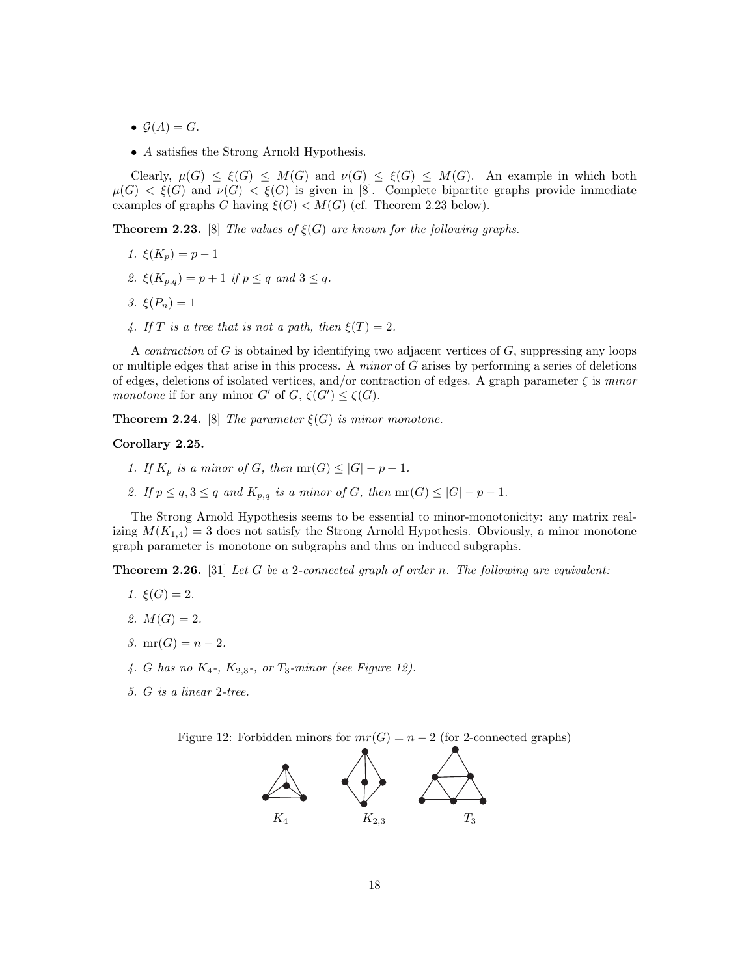- $\mathcal{G}(A) = G$ .
- A satisfies the Strong Arnold Hypothesis.

Clearly,  $\mu(G) \leq \xi(G) \leq M(G)$  and  $\nu(G) \leq \xi(G) \leq M(G)$ . An example in which both  $\mu(G) < \xi(G)$  and  $\nu(G) < \xi(G)$  is given in [8]. Complete bipartite graphs provide immediate examples of graphs G having  $\xi(G) < M(G)$  (cf. Theorem 2.23 below).

**Theorem 2.23.** [8] The values of  $\xi(G)$  are known for the following graphs.

- 1.  $\xi(K_n) = p 1$
- 2.  $\xi(K_{p,q}) = p + 1$  if  $p \leq q$  and  $3 \leq q$ .
- 3.  $\xi(P_n) = 1$
- 4. If T is a tree that is not a path, then  $\xi(T) = 2$ .

A *contraction* of G is obtained by identifying two adjacent vertices of  $G$ , suppressing any loops or multiple edges that arise in this process. A *minor* of  $G$  arises by performing a series of deletions of edges, deletions of isolated vertices, and/or contraction of edges. A graph parameter  $\zeta$  is minor monotone if for any minor  $G'$  of  $G, \zeta(G') \leq \zeta(G)$ .

**Theorem 2.24.** [8] The parameter  $\xi(G)$  is minor monotone.

Corollary 2.25.

- 1. If  $K_p$  is a minor of G, then  $mr(G) \leq |G| p + 1$ .
- 2. If  $p \le q$ ,  $3 \le q$  and  $K_{p,q}$  is a minor of G, then  $mr(G) \le |G| p 1$ .

The Strong Arnold Hypothesis seems to be essential to minor-monotonicity: any matrix realizing  $M(K_{1,4}) = 3$  does not satisfy the Strong Arnold Hypothesis. Obviously, a minor monotone graph parameter is monotone on subgraphs and thus on induced subgraphs.

**Theorem 2.26.** [31] Let G be a 2-connected graph of order n. The following are equivalent:

- 1.  $\xi(G) = 2$ .
- 2.  $M(G) = 2$ .
- 3.  $mr(G) = n 2$ .
- 4. G has no  $K_4$ -,  $K_{2,3}$ -, or  $T_3$ -minor (see Figure 12).
- 5. G is a linear 2-tree.

Figure 12: Forbidden minors for  $mr(G) = n - 2$  (for 2-connected graphs)

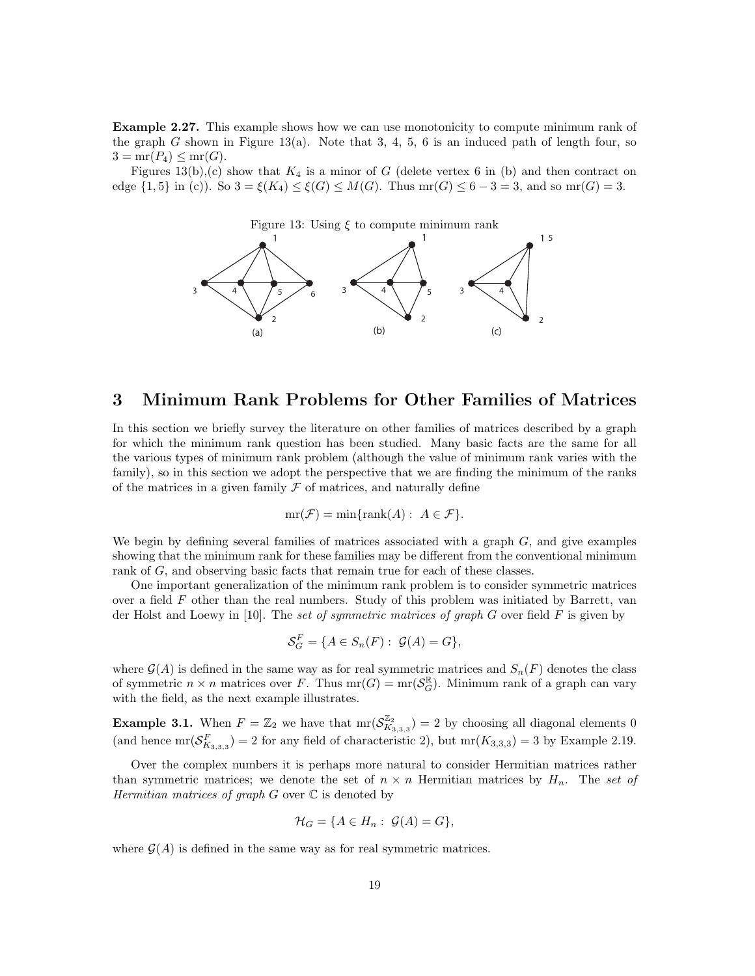Example 2.27. This example shows how we can use monotonicity to compute minimum rank of the graph G shown in Figure 13(a). Note that 3, 4, 5, 6 is an induced path of length four, so  $3 = \text{mr}(P_4) \leq \text{mr}(G)$ .

Figures 13(b),(c) show that  $K_4$  is a minor of G (delete vertex 6 in (b) and then contract on edge  $\{1,5\}$  in (c)). So  $3 = \xi(K_4) \leq \xi(G) \leq M(G)$ . Thus mr(G)  $\leq 6-3=3$ , and so mr(G) = 3.

Figure 13: Using  $\xi$  to compute minimum rank



## 3 Minimum Rank Problems for Other Families of Matrices

In this section we briefly survey the literature on other families of matrices described by a graph for which the minimum rank question has been studied. Many basic facts are the same for all the various types of minimum rank problem (although the value of minimum rank varies with the family), so in this section we adopt the perspective that we are finding the minimum of the ranks of the matrices in a given family  $\mathcal F$  of matrices, and naturally define

$$
mr(\mathcal{F}) = min\{rank(A): A \in \mathcal{F}\}.
$$

We begin by defining several families of matrices associated with a graph  $G$ , and give examples showing that the minimum rank for these families may be different from the conventional minimum rank of G, and observing basic facts that remain true for each of these classes.

One important generalization of the minimum rank problem is to consider symmetric matrices over a field F other than the real numbers. Study of this problem was initiated by Barrett, van der Holst and Loewy in [10]. The set of symmetric matrices of graph G over field F is given by

$$
\mathcal{S}_G^F = \{ A \in S_n(F) : \mathcal{G}(A) = G \},
$$

where  $\mathcal{G}(A)$  is defined in the same way as for real symmetric matrices and  $S_n(F)$  denotes the class of symmetric  $n \times n$  matrices over F. Thus  $mr(G) = mr(\mathcal{S}_G^{\mathbb{R}})$ . Minimum rank of a graph can vary with the field, as the next example illustrates.

**Example 3.1.** When  $F = \mathbb{Z}_2$  we have that  $\text{mr}(\mathcal{S}_{K_{3,3,3}}^{\mathbb{Z}_2}) = 2$  by choosing all diagonal elements 0 (and hence  $\text{mr}(\mathcal{S}_{K_{3,3,3}}^F) = 2$  for any field of characteristic 2), but  $\text{mr}(K_{3,3,3}) = 3$  by Example 2.19.

Over the complex numbers it is perhaps more natural to consider Hermitian matrices rather than symmetric matrices; we denote the set of  $n \times n$  Hermitian matrices by  $H_n$ . The set of Hermitian matrices of graph  $G$  over  $\mathbb C$  is denoted by

$$
\mathcal{H}_G = \{ A \in H_n : \mathcal{G}(A) = G \},
$$

where  $\mathcal{G}(A)$  is defined in the same way as for real symmetric matrices.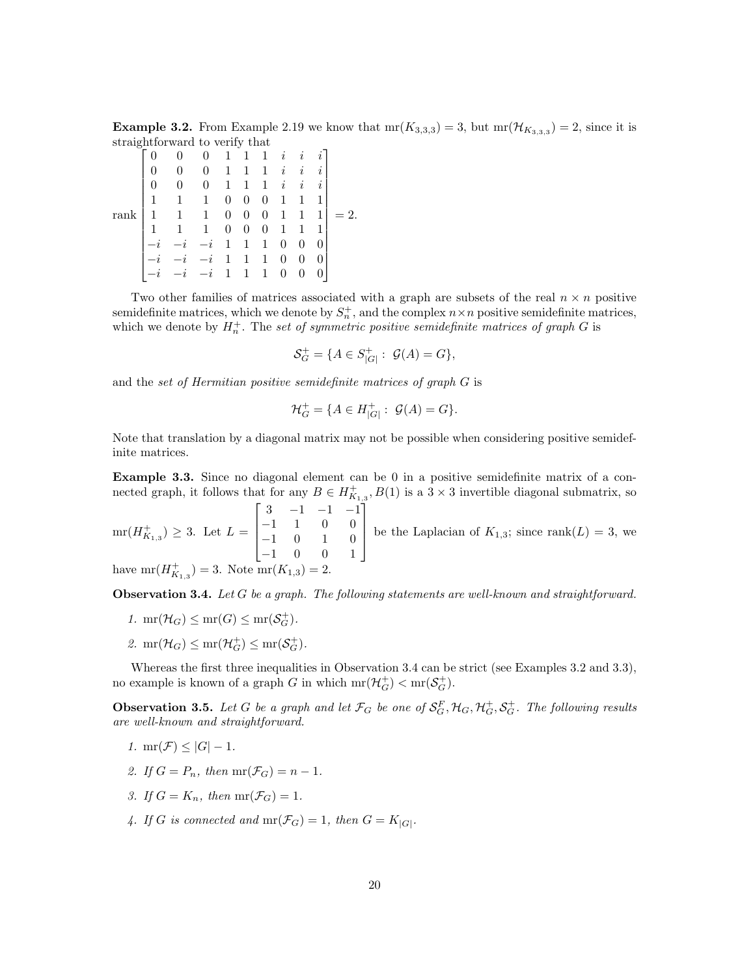**Example 3.2.** From Example 2.19 we know that  $mr(K_{3,3,3}) = 3$ , but  $mr(\mathcal{H}_{K_{3,3,3}}) = 2$ , since it is straightforward to verify that

|                                                                              |              |              |   | 1              | 1                | 1                | $\dot{i}$      | i        |          |    |
|------------------------------------------------------------------------------|--------------|--------------|---|----------------|------------------|------------------|----------------|----------|----------|----|
|                                                                              | 0            |              |   | 1              | 1                | 1                | i              | İ.       | i        |    |
|                                                                              |              |              |   | 1              | 1                | 1                | $\dot{\imath}$ | $\imath$ | i        |    |
|                                                                              | 1            | 1            | 1 | 0              | $\theta$         | 0                | 1              | 1        |          |    |
| $\operatorname*{rank}% \mathcal{M}(n)=-\operatorname*{rank}(\mathcal{M}(n))$ | $\mathbf{1}$ | $\mathbf{1}$ | 1 | 0              | $\boldsymbol{0}$ | $\boldsymbol{0}$ | 1              | 1        | 1        | 2. |
|                                                                              |              |              | 1 | $\overline{0}$ | $\overline{0}$   | 0                | 1              | 1        |          |    |
|                                                                              |              |              |   | $\mathbf 1$    | $\mathbf{1}$     | 1                | 0              | 0        | $\theta$ |    |
|                                                                              |              |              |   | 1              | 1                | 1                | 0              | 0        |          |    |
|                                                                              |              |              |   | $\mathbf 1$    |                  |                  | 0              |          |          |    |

Two other families of matrices associated with a graph are subsets of the real  $n \times n$  positive semidefinite matrices, which we denote by  $S_n^+$ , and the complex  $n \times n$  positive semidefinite matrices, which we denote by  $H_n^+$ . The set of symmetric positive semidefinite matrices of graph G is

$$
\mathcal{S}_G^+ = \{ A \in S_{|G|}^+ : \mathcal{G}(A) = G \},
$$

and the set of Hermitian positive semidefinite matrices of graph G is

$$
\mathcal{H}_G^+ = \{ A \in H^+_{|G|} : \ \mathcal{G}(A) = G \}.
$$

Note that translation by a diagonal matrix may not be possible when considering positive semidefinite matrices.

Example 3.3. Since no diagonal element can be 0 in a positive semidefinite matrix of a connected graph, it follows that for any  $B \in H_{K_{1,3}}^+$ ,  $B(1)$  is a  $3 \times 3$  invertible diagonal submatrix, so  $\lceil$ 1

 $mr(H_{K_{1,3}}^{+}) \geq 3.$  Let  $L =$  $\Big\}$ 3 −1 −1 −1 −1 1 0 0 −1 0 1 0 −1 0 0 1  $\begin{matrix} \phantom{-} \end{matrix}$ be the Laplacian of  $K_{1,3}$ ; since rank $(L) = 3$ , we have  $mr(H_{K_{1,3}}^{+})=3$ . Note  $mr(K_{1,3})=2$ .

**Observation 3.4.** Let  $G$  be a graph. The following statements are well-known and straightforward.

- 1.  $mr(\mathcal{H}_G) \le mr(G) \le mr(\mathcal{S}_G^+).$
- 2.  $\operatorname{mr}(\mathcal{H}_G) \le \operatorname{mr}(\mathcal{H}_G^+) \le \operatorname{mr}(\mathcal{S}_G^+).$

Whereas the first three inequalities in Observation 3.4 can be strict (see Examples 3.2 and 3.3), no example is known of a graph G in which  $mr(\mathcal{H}_G^+) < mr(\mathcal{S}_G^+)$ .

**Observation 3.5.** Let G be a graph and let  $\mathcal{F}_G$  be one of  $\mathcal{S}_G^F$ ,  $\mathcal{H}_G$ ,  $\mathcal{H}_G^+$ ,  $\mathcal{S}_G^+$ . The following results are well-known and straightforward.

- 1. mr $(\mathcal{F}) \leq |G| 1$ .
- 2. If  $G = P_n$ , then  $mr(\mathcal{F}_G) = n 1$ .
- 3. If  $G = K_n$ , then  $mr(\mathcal{F}_G) = 1$ .
- 4. If G is connected and  $mr(\mathcal{F}_G) = 1$ , then  $G = K_{|G|}$ .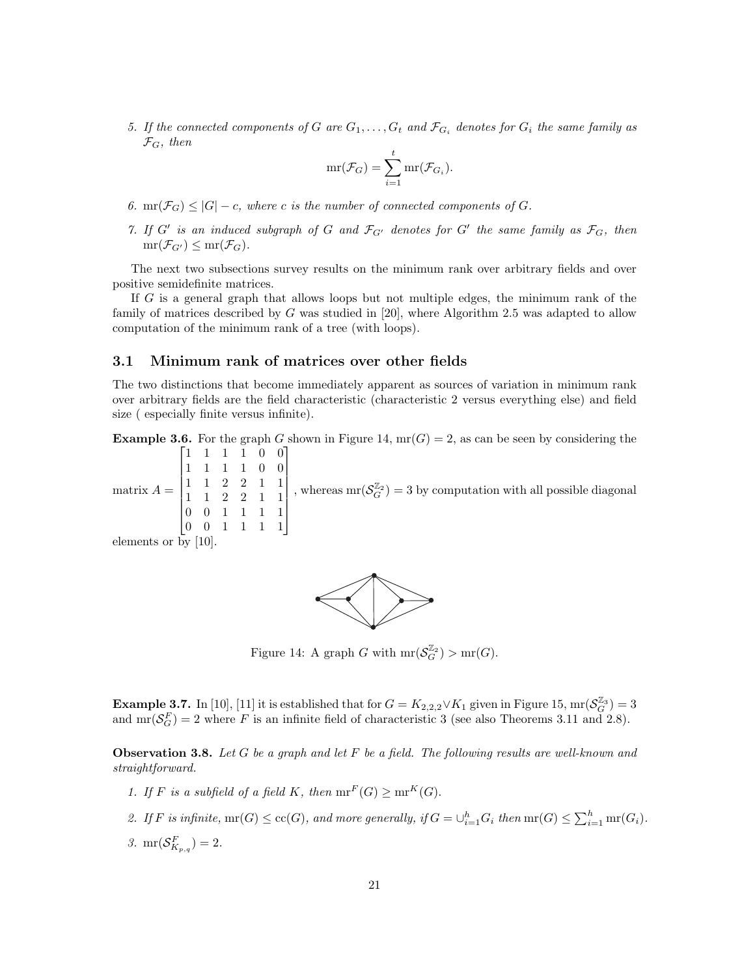5. If the connected components of G are  $G_1, \ldots, G_t$  and  $\mathcal{F}_{G_i}$  denotes for  $G_i$  the same family as  $\mathcal{F}_G$ , then

$$
\mathrm{mr}(\mathcal{F}_G)=\sum_{i=1}^t \mathrm{mr}(\mathcal{F}_{G_i}).
$$

- 6. mr( $\mathcal{F}_G$ )  $\leq |G| c$ , where c is the number of connected components of G.
- 7. If G' is an induced subgraph of G and  $\mathcal{F}_{G'}$  denotes for G' the same family as  $\mathcal{F}_G$ , then  $mr(\mathcal{F}_{G'}) \leq mr(\mathcal{F}_G)$ .

The next two subsections survey results on the minimum rank over arbitrary fields and over positive semidefinite matrices.

If G is a general graph that allows loops but not multiple edges, the minimum rank of the family of matrices described by G was studied in [20], where Algorithm 2.5 was adapted to allow computation of the minimum rank of a tree (with loops).

#### 3.1 Minimum rank of matrices over other fields

The two distinctions that become immediately apparent as sources of variation in minimum rank over arbitrary fields are the field characteristic (characteristic 2 versus everything else) and field size ( especially finite versus infinite).

**Example 3.6.** For the graph G shown in Figure 14,  $mr(G) = 2$ , as can be seen by considering the

matrix  $A =$  $\begin{bmatrix} 1 & 1 & 1 & 1 & 0 & 0 \end{bmatrix}$  $\begin{array}{c} \hline \end{array}$ 1 1 1 1 0 0 1 1 2 2 1 1 1 1 2 2 1 1 0 0 1 1 1 1 0 0 1 1 1 1 , whereas  $\text{mr}(\mathcal{S}_G^{\mathbb{Z}_2})=3$  by computation with all possible diagonal

elements or by [10].



Figure 14: A graph G with  $mr(\mathcal{S}_G^{\mathbb{Z}_2}) > mr(G)$ .

**Example 3.7.** In [10], [11] it is established that for  $G = K_{2,2,2} \vee K_1$  given in Figure 15, mr $(\mathcal{S}_G^{\mathbb{Z}_3}) = 3$ and  $mr(\mathcal{S}_G^F) = 2$  where F is an infinite field of characteristic 3 (see also Theorems 3.11 and 2.8).

**Observation 3.8.** Let G be a graph and let F be a field. The following results are well-known and straightforward.

- 1. If F is a subfield of a field K, then  $mr^F(G) \ge mr^K(G)$ .
- 2. If F is infinite,  $mr(G) \leq cc(G)$ , and more generally, if  $G = \bigcup_{i=1}^{h} G_i$  then  $mr(G) \leq \sum_{i=1}^{h} mr(G_i)$ .
- 3.  $\text{mr}(\mathcal{S}_{K_{p,q}}^F)=2.$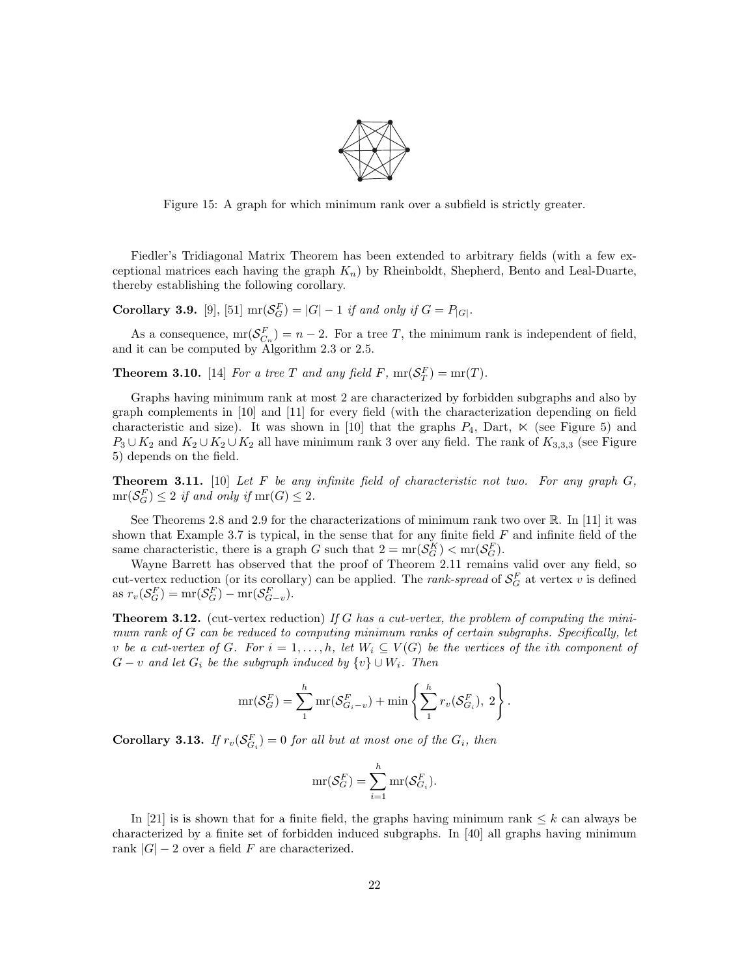

Figure 15: A graph for which minimum rank over a subfield is strictly greater.

Fiedler's Tridiagonal Matrix Theorem has been extended to arbitrary fields (with a few exceptional matrices each having the graph  $K_n$ ) by Rheinboldt, Shepherd, Bento and Leal-Duarte, thereby establishing the following corollary.

**Corollary 3.9.** [9], [51]  $\text{mr}(\mathcal{S}_G^F) = |G| - 1$  if and only if  $G = P_{|G|}$ .

As a consequence,  $\text{mr}(\mathcal{S}_{C_n}^F) = n-2$ . For a tree T, the minimum rank is independent of field, and it can be computed by Algorithm 2.3 or 2.5.

**Theorem 3.10.** [14] For a tree T and any field F,  $mr(S_T^F) = mr(T)$ .

Graphs having minimum rank at most 2 are characterized by forbidden subgraphs and also by graph complements in [10] and [11] for every field (with the characterization depending on field characteristic and size). It was shown in [10] that the graphs  $P_4$ , Dart,  $\ltimes$  (see Figure 5) and  $P_3 \cup K_2$  and  $K_2 \cup K_2 \cup K_2$  all have minimum rank 3 over any field. The rank of  $K_{3,3,3}$  (see Figure 5) depends on the field.

**Theorem 3.11.** [10] Let F be any infinite field of characteristic not two. For any graph  $G$ ,  $mr(\mathcal{S}_G^F) \leq 2$  if and only if  $mr(G) \leq 2$ .

See Theorems 2.8 and 2.9 for the characterizations of minimum rank two over  $\mathbb{R}$ . In [11] it was shown that Example 3.7 is typical, in the sense that for any finite field  $F$  and infinite field of the same characteristic, there is a graph G such that  $2 = mr(S_G^K) < mr(S_G^F)$ .

Wayne Barrett has observed that the proof of Theorem 2.11 remains valid over any field, so cut-vertex reduction (or its corollary) can be applied. The *rank-spread* of  $\mathcal{S}_G^F$  at vertex v is defined as  $r_v(\mathcal{S}_G^F) = \text{mr}(\mathcal{S}_G^F) - \text{mr}(\mathcal{S}_{G-v}^F)$ .

**Theorem 3.12.** (cut-vertex reduction) If G has a cut-vertex, the problem of computing the minimum rank of G can be reduced to computing minimum ranks of certain subgraphs. Specifically, let v be a cut-vertex of G. For  $i = 1, ..., h$ , let  $W_i \subseteq V(G)$  be the vertices of the ith component of  $G - v$  and let  $G_i$  be the subgraph induced by  $\{v\} \cup W_i$ . Then

$$
\mathrm{mr}(\mathcal{S}_G^F)=\sum_1^h \mathrm{mr}(\mathcal{S}_{G_i-v}^F)+\mathrm{min}\left\{\sum_1^h r_v(\mathcal{S}_{G_i}^F), 2\right\}.
$$

**Corollary 3.13.** If  $r_v(\mathcal{S}_{G_i}^F) = 0$  for all but at most one of the  $G_i$ , then

$$
\mathrm{mr}(\mathcal{S}_G^F) = \sum_{i=1}^h \mathrm{mr}(\mathcal{S}_{G_i}^F).
$$

In [21] is is shown that for a finite field, the graphs having minimum rank  $\leq k$  can always be characterized by a finite set of forbidden induced subgraphs. In [40] all graphs having minimum rank  $|G| - 2$  over a field F are characterized.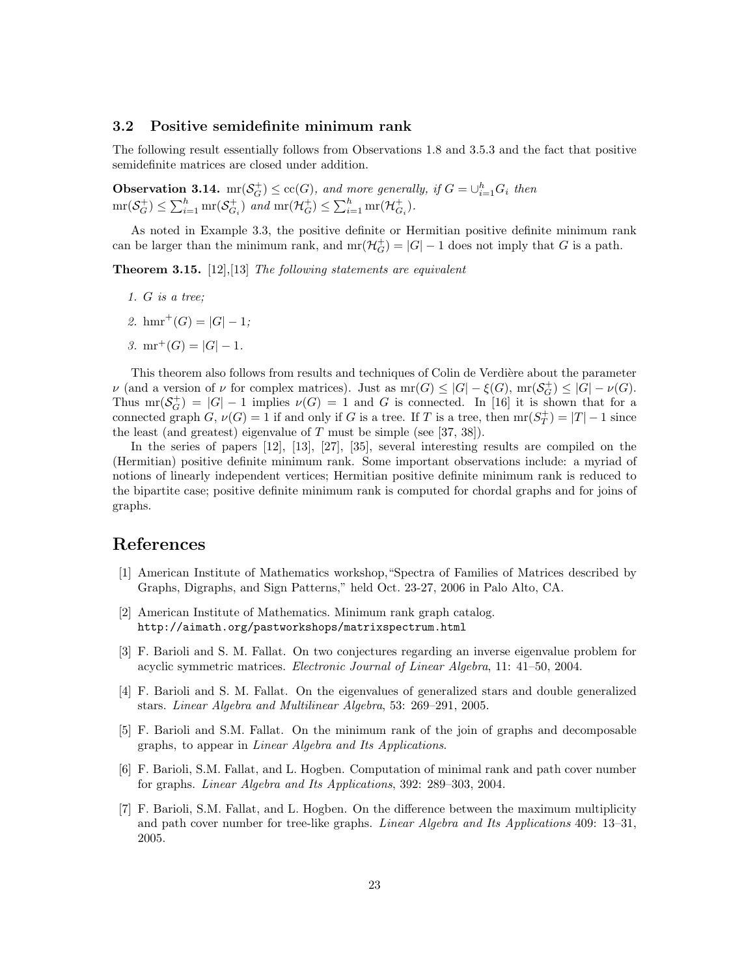#### 3.2 Positive semidefinite minimum rank

The following result essentially follows from Observations 1.8 and 3.5.3 and the fact that positive semidefinite matrices are closed under addition.

**Observation 3.14.** mr $(\mathcal{S}_G^+) \leq \text{cc}(G)$ , and more generally, if  $G = \bigcup_{i=1}^h G_i$  then  $\text{mr}(\mathcal{S}_G^+) \leq \sum_{i=1}^h \text{mr}(\mathcal{S}_{G_i}^+)$  and  $\text{mr}(\mathcal{H}_G^+) \leq \sum_{i=1}^h \text{mr}(\mathcal{H}_{G_i}^+)$ .

As noted in Example 3.3, the positive definite or Hermitian positive definite minimum rank can be larger than the minimum rank, and  $mr(\mathcal{H}_G^+) = |G| - 1$  does not imply that G is a path.

**Theorem 3.15.** [12], [13] The following statements are equivalent

- 1. G is a tree;
- 2. hmr<sup>+</sup> $(G) = |G| 1;$
- 3. mr<sup>+</sup> $(G) = |G| 1$ .

This theorem also follows from results and techniques of Colin de Verdière about the parameter  $\nu$  (and a version of  $\nu$  for complex matrices). Just as  $mr(G) \leq |G| - \xi(G)$ ,  $mr(\mathcal{S}_G^+) \leq |G| - \nu(G)$ . Thus  $mr(\mathcal{S}_G^+) = |G| - 1$  implies  $\nu(G) = 1$  and G is connected. In [16] it is shown that for a connected graph  $G, \nu(G) = 1$  if and only if G is a tree. If T is a tree, then  $mr(S_T^+) = |T| - 1$  since the least (and greatest) eigenvalue of  $T$  must be simple (see [37, 38]).

In the series of papers [12], [13], [27], [35], several interesting results are compiled on the (Hermitian) positive definite minimum rank. Some important observations include: a myriad of notions of linearly independent vertices; Hermitian positive definite minimum rank is reduced to the bipartite case; positive definite minimum rank is computed for chordal graphs and for joins of graphs.

## References

- [1] American Institute of Mathematics workshop,"Spectra of Families of Matrices described by Graphs, Digraphs, and Sign Patterns," held Oct. 23-27, 2006 in Palo Alto, CA.
- [2] American Institute of Mathematics. Minimum rank graph catalog. http://aimath.org/pastworkshops/matrixspectrum.html
- [3] F. Barioli and S. M. Fallat. On two conjectures regarding an inverse eigenvalue problem for acyclic symmetric matrices. Electronic Journal of Linear Algebra, 11: 41–50, 2004.
- [4] F. Barioli and S. M. Fallat. On the eigenvalues of generalized stars and double generalized stars. Linear Algebra and Multilinear Algebra, 53: 269–291, 2005.
- [5] F. Barioli and S.M. Fallat. On the minimum rank of the join of graphs and decomposable graphs, to appear in Linear Algebra and Its Applications.
- [6] F. Barioli, S.M. Fallat, and L. Hogben. Computation of minimal rank and path cover number for graphs. Linear Algebra and Its Applications, 392: 289–303, 2004.
- [7] F. Barioli, S.M. Fallat, and L. Hogben. On the difference between the maximum multiplicity and path cover number for tree-like graphs. Linear Algebra and Its Applications 409: 13–31, 2005.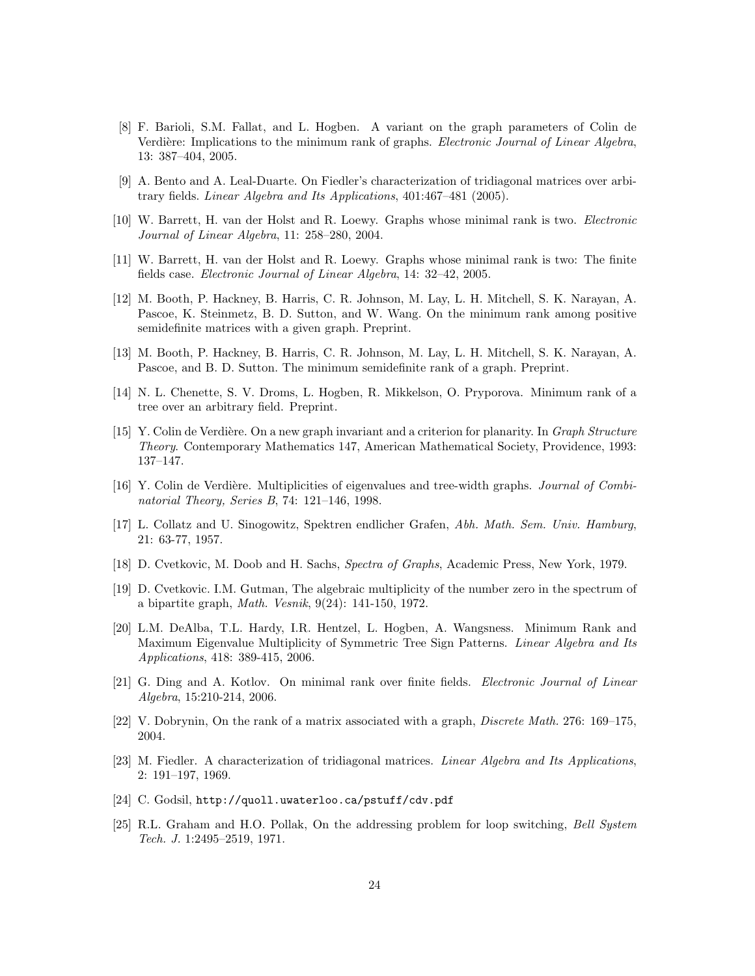- [8] F. Barioli, S.M. Fallat, and L. Hogben. A variant on the graph parameters of Colin de Verdière: Implications to the minimum rank of graphs. *Electronic Journal of Linear Algebra*, 13: 387–404, 2005.
- [9] A. Bento and A. Leal-Duarte. On Fiedler's characterization of tridiagonal matrices over arbitrary fields. Linear Algebra and Its Applications, 401:467–481 (2005).
- [10] W. Barrett, H. van der Holst and R. Loewy. Graphs whose minimal rank is two. Electronic Journal of Linear Algebra, 11: 258–280, 2004.
- [11] W. Barrett, H. van der Holst and R. Loewy. Graphs whose minimal rank is two: The finite fields case. Electronic Journal of Linear Algebra, 14: 32–42, 2005.
- [12] M. Booth, P. Hackney, B. Harris, C. R. Johnson, M. Lay, L. H. Mitchell, S. K. Narayan, A. Pascoe, K. Steinmetz, B. D. Sutton, and W. Wang. On the minimum rank among positive semidefinite matrices with a given graph. Preprint.
- [13] M. Booth, P. Hackney, B. Harris, C. R. Johnson, M. Lay, L. H. Mitchell, S. K. Narayan, A. Pascoe, and B. D. Sutton. The minimum semidefinite rank of a graph. Preprint.
- [14] N. L. Chenette, S. V. Droms, L. Hogben, R. Mikkelson, O. Pryporova. Minimum rank of a tree over an arbitrary field. Preprint.
- [15] Y. Colin de Verdière. On a new graph invariant and a criterion for planarity. In *Graph Structure* Theory. Contemporary Mathematics 147, American Mathematical Society, Providence, 1993: 137–147.
- [16] Y. Colin de Verdière. Multiplicities of eigenvalues and tree-width graphs. Journal of Combinatorial Theory, Series B, 74: 121–146, 1998.
- [17] L. Collatz and U. Sinogowitz, Spektren endlicher Grafen, Abh. Math. Sem. Univ. Hamburg, 21: 63-77, 1957.
- [18] D. Cvetkovic, M. Doob and H. Sachs, Spectra of Graphs, Academic Press, New York, 1979.
- [19] D. Cvetkovic. I.M. Gutman, The algebraic multiplicity of the number zero in the spectrum of a bipartite graph, Math. Vesnik, 9(24): 141-150, 1972.
- [20] L.M. DeAlba, T.L. Hardy, I.R. Hentzel, L. Hogben, A. Wangsness. Minimum Rank and Maximum Eigenvalue Multiplicity of Symmetric Tree Sign Patterns. Linear Algebra and Its Applications, 418: 389-415, 2006.
- [21] G. Ding and A. Kotlov. On minimal rank over finite fields. Electronic Journal of Linear Algebra, 15:210-214, 2006.
- [22] V. Dobrynin, On the rank of a matrix associated with a graph, Discrete Math. 276: 169–175, 2004.
- [23] M. Fiedler. A characterization of tridiagonal matrices. Linear Algebra and Its Applications, 2: 191–197, 1969.
- [24] C. Godsil, http://quoll.uwaterloo.ca/pstuff/cdv.pdf
- [25] R.L. Graham and H.O. Pollak, On the addressing problem for loop switching, Bell System Tech. J. 1:2495–2519, 1971.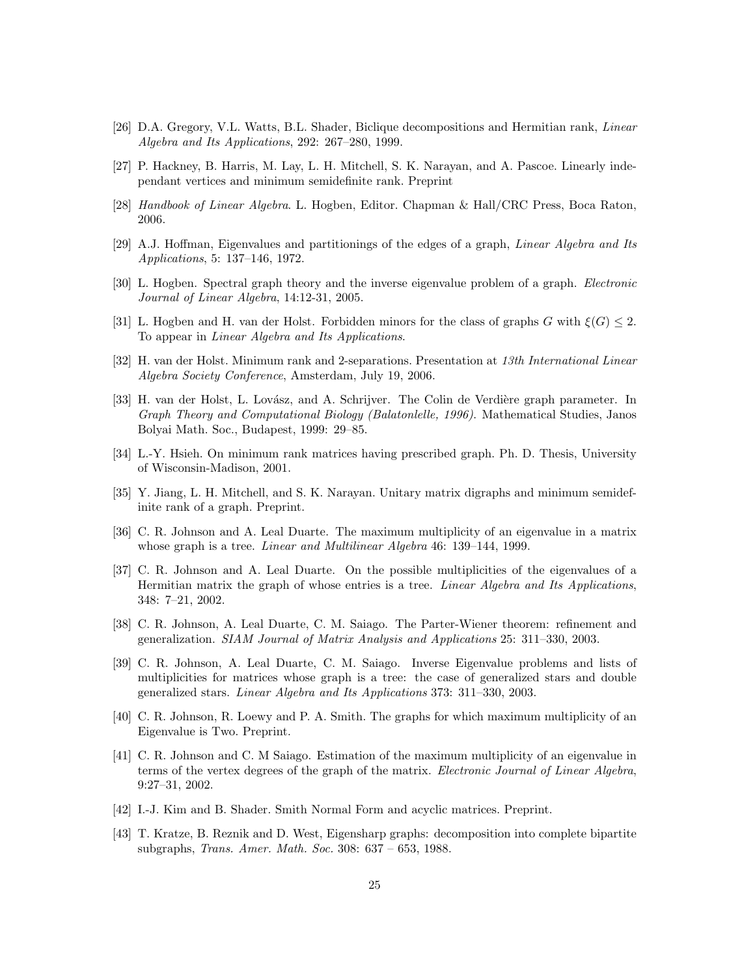- [26] D.A. Gregory, V.L. Watts, B.L. Shader, Biclique decompositions and Hermitian rank, Linear Algebra and Its Applications, 292: 267–280, 1999.
- [27] P. Hackney, B. Harris, M. Lay, L. H. Mitchell, S. K. Narayan, and A. Pascoe. Linearly independant vertices and minimum semidefinite rank. Preprint
- [28] Handbook of Linear Algebra. L. Hogben, Editor. Chapman & Hall/CRC Press, Boca Raton, 2006.
- [29] A.J. Hoffman, Eigenvalues and partitionings of the edges of a graph, Linear Algebra and Its Applications, 5: 137–146, 1972.
- [30] L. Hogben. Spectral graph theory and the inverse eigenvalue problem of a graph. *Electronic* Journal of Linear Algebra, 14:12-31, 2005.
- [31] L. Hogben and H. van der Holst. Forbidden minors for the class of graphs G with  $\xi(G) \leq 2$ . To appear in Linear Algebra and Its Applications.
- [32] H. van der Holst. Minimum rank and 2-separations. Presentation at 13th International Linear Algebra Society Conference, Amsterdam, July 19, 2006.
- [33] H. van der Holst, L. Lovász, and A. Schrijver. The Colin de Verdière graph parameter. In Graph Theory and Computational Biology (Balatonlelle, 1996). Mathematical Studies, Janos Bolyai Math. Soc., Budapest, 1999: 29–85.
- [34] L.-Y. Hsieh. On minimum rank matrices having prescribed graph. Ph. D. Thesis, University of Wisconsin-Madison, 2001.
- [35] Y. Jiang, L. H. Mitchell, and S. K. Narayan. Unitary matrix digraphs and minimum semidefinite rank of a graph. Preprint.
- [36] C. R. Johnson and A. Leal Duarte. The maximum multiplicity of an eigenvalue in a matrix whose graph is a tree. *Linear and Multilinear Algebra* 46: 139–144, 1999.
- [37] C. R. Johnson and A. Leal Duarte. On the possible multiplicities of the eigenvalues of a Hermitian matrix the graph of whose entries is a tree. Linear Algebra and Its Applications, 348: 7–21, 2002.
- [38] C. R. Johnson, A. Leal Duarte, C. M. Saiago. The Parter-Wiener theorem: refinement and generalization. SIAM Journal of Matrix Analysis and Applications 25: 311–330, 2003.
- [39] C. R. Johnson, A. Leal Duarte, C. M. Saiago. Inverse Eigenvalue problems and lists of multiplicities for matrices whose graph is a tree: the case of generalized stars and double generalized stars. Linear Algebra and Its Applications 373: 311–330, 2003.
- [40] C. R. Johnson, R. Loewy and P. A. Smith. The graphs for which maximum multiplicity of an Eigenvalue is Two. Preprint.
- [41] C. R. Johnson and C. M Saiago. Estimation of the maximum multiplicity of an eigenvalue in terms of the vertex degrees of the graph of the matrix. Electronic Journal of Linear Algebra, 9:27–31, 2002.
- [42] I.-J. Kim and B. Shader. Smith Normal Form and acyclic matrices. Preprint.
- [43] T. Kratze, B. Reznik and D. West, Eigensharp graphs: decomposition into complete bipartite subgraphs, Trans. Amer. Math. Soc. 308: 637 – 653, 1988.